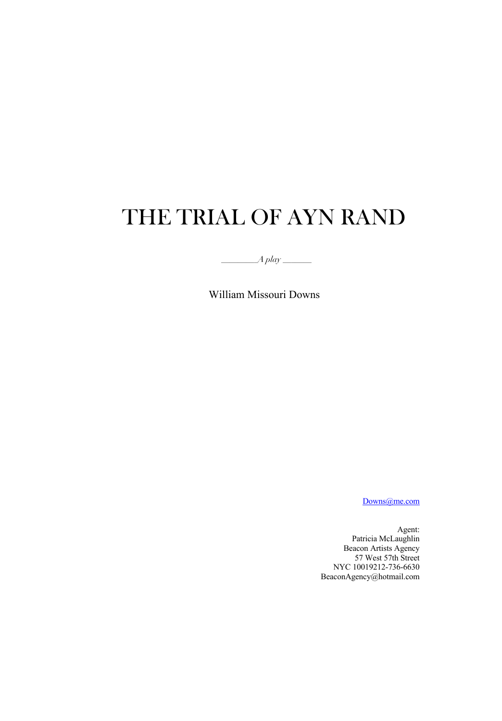# THE TRIAL OF AYN RAND

*\_\_\_\_\_\_\_\_\_A play \_\_\_\_\_\_\_*

William Missouri Downs

Downs@me.com

Agent: Patricia McLaughlin Beacon Artists Agency 57 West 57th Street NYC 10019212-736-6630 BeaconAgency@hotmail.com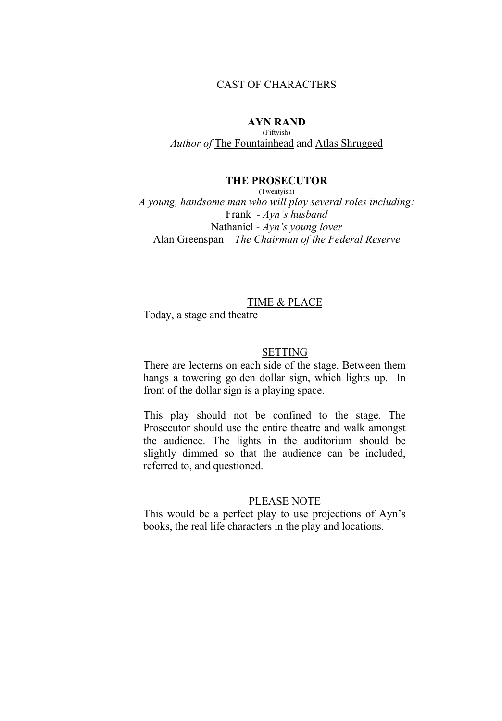# CAST OF CHARACTERS

# **AYN RAND**

(Fiftyish) *Author of* The Fountainhead and Atlas Shrugged

# **THE PROSECUTOR**

(Twentyish) *A young, handsome man who will play several roles including:* Frank *- Ayn's husband* Nathaniel *- Ayn's young lover* Alan Greenspan *– The Chairman of the Federal Reserve*

# TIME & PLACE

Today, a stage and theatre

# SETTING

There are lecterns on each side of the stage. Between them hangs a towering golden dollar sign, which lights up. In front of the dollar sign is a playing space.

This play should not be confined to the stage. The Prosecutor should use the entire theatre and walk amongst the audience. The lights in the auditorium should be slightly dimmed so that the audience can be included, referred to, and questioned.

# PLEASE NOTE

This would be a perfect play to use projections of Ayn's books, the real life characters in the play and locations.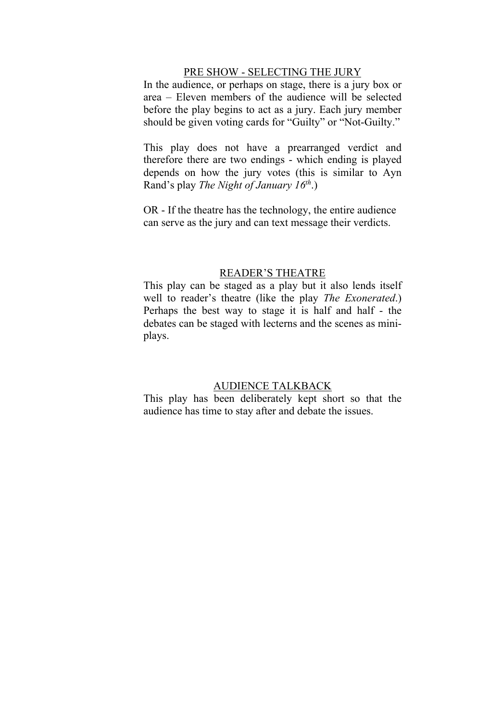# PRE SHOW - SELECTING THE JURY

In the audience, or perhaps on stage, there is a jury box or area – Eleven members of the audience will be selected before the play begins to act as a jury. Each jury member should be given voting cards for "Guilty" or "Not-Guilty."

This play does not have a prearranged verdict and therefore there are two endings - which ending is played depends on how the jury votes (this is similar to Ayn Rand's play *The Night of January 16th*.)

OR - If the theatre has the technology, the entire audience can serve as the jury and can text message their verdicts.

# READER'S THEATRE

This play can be staged as a play but it also lends itself well to reader's theatre (like the play *The Exonerated*.) Perhaps the best way to stage it is half and half - the debates can be staged with lecterns and the scenes as miniplays.

# AUDIENCE TALKBACK

This play has been deliberately kept short so that the audience has time to stay after and debate the issues.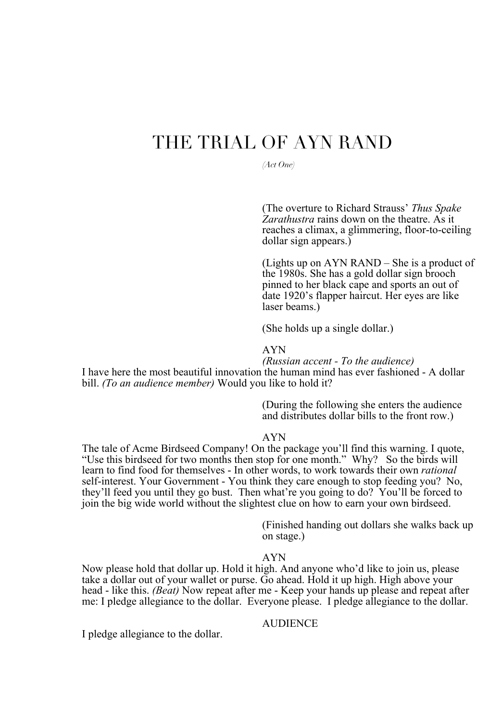# THE TRIAL OF AYN RAND

*(Act One)*

(The overture to Richard Strauss' *Thus Spake Zarathustra* rains down on the theatre. As it reaches a climax, a glimmering, floor-to-ceiling dollar sign appears.)

(Lights up on AYN RAND – She is a product of the 1980s. She has a gold dollar sign brooch pinned to her black cape and sports an out of date 1920's flapper haircut. Her eyes are like laser beams.)

(She holds up a single dollar.)

# AYN

*(Russian accent - To the audience)* 

I have here the most beautiful innovation the human mind has ever fashioned - A dollar bill. *(To an audience member)* Would you like to hold it?

> (During the following she enters the audience and distributes dollar bills to the front row.)

#### AYN

The tale of Acme Birdseed Company! On the package you'll find this warning. I quote, "Use this birdseed for two months then stop for one month." Why? So the birds will learn to find food for themselves - In other words, to work towards their own *rational*  self-interest. Your Government - You think they care enough to stop feeding you? No, they'll feed you until they go bust. Then what're you going to do? You'll be forced to join the big wide world without the slightest clue on how to earn your own birdseed.

> (Finished handing out dollars she walks back up on stage.)

#### AYN

Now please hold that dollar up. Hold it high. And anyone who'd like to join us, please take a dollar out of your wallet or purse. Go ahead. Hold it up high. High above your head - like this. *(Beat)* Now repeat after me - Keep your hands up please and repeat after me: I pledge allegiance to the dollar. Everyone please. I pledge allegiance to the dollar.

# AUDIENCE

I pledge allegiance to the dollar.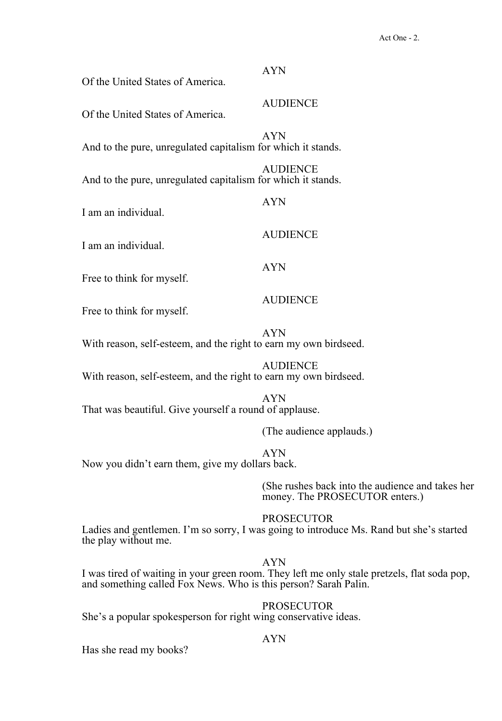| Of the United States of America.                                 | <b>AYN</b>               |
|------------------------------------------------------------------|--------------------------|
| Of the United States of America.                                 | <b>AUDIENCE</b>          |
| And to the pure, unregulated capitalism for which it stands.     | <b>AYN</b>               |
| And to the pure, unregulated capitalism for which it stands.     | <b>AUDIENCE</b>          |
| I am an individual.                                              | <b>AYN</b>               |
| I am an individual.                                              | <b>AUDIENCE</b>          |
| Free to think for myself.                                        | <b>AYN</b>               |
| Free to think for myself.                                        | <b>AUDIENCE</b>          |
| With reason, self-esteem, and the right to earn my own birdseed. | <b>AYN</b>               |
| With reason, self-esteem, and the right to earn my own birdseed. | <b>AUDIENCE</b>          |
| That was beautiful. Give yourself a round of applause.           | <b>AYN</b>               |
|                                                                  | (The audience applauds.) |

AYN Now you didn't earn them, give my dollars back.

> (She rushes back into the audience and takes her money. The PROSECUTOR enters.)

# PROSECUTOR

Ladies and gentlemen. I'm so sorry, I was going to introduce Ms. Rand but she's started the play without me.

AYN

I was tired of waiting in your green room. They left me only stale pretzels, flat soda pop, and something called Fox News. Who is this person? Sarah Palin.

# PROSECUTOR

She's a popular spokesperson for right wing conservative ideas.

# AYN

Has she read my books?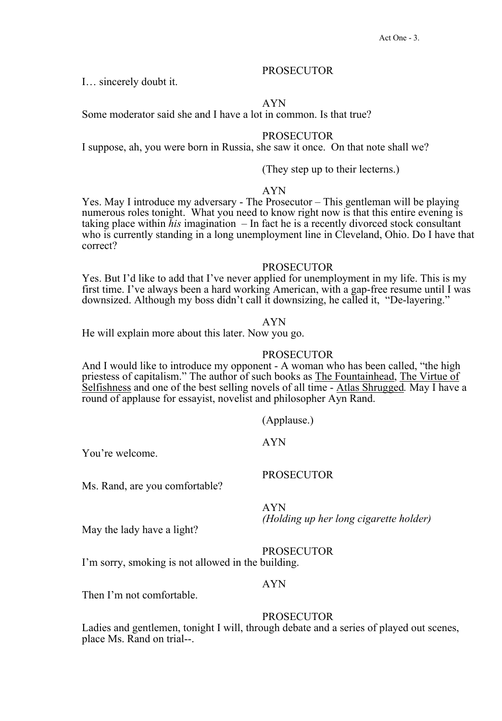#### AYN

Some moderator said she and I have a lot in common. Is that true?

#### PROSECUTOR

I suppose, ah, you were born in Russia, she saw it once. On that note shall we?

(They step up to their lecterns.)

#### AYN

Yes. May I introduce my adversary - The Prosecutor – This gentleman will be playing numerous roles tonight. What you need to know right now is that this entire evening is taking place within *his* imagination – In fact he is a recently divorced stock consultant who is currently standing in a long unemployment line in Cleveland, Ohio. Do I have that correct?

#### PROSECUTOR

Yes. But I'd like to add that I've never applied for unemployment in my life. This is my first time. I've always been a hard working American, with a gap-free resume until I was downsized. Although my boss didn't call it downsizing, he called it, "De-layering."

#### AYN

He will explain more about this later. Now you go.

# PROSECUTOR

And I would like to introduce my opponent - A woman who has been called, "the high priestess of capitalism." The author of such books as The Fountainhead, The Virtue of Selfishness and one of the best selling novels of all time - Atlas Shrugged*.* May I have a round of applause for essayist, novelist and philosopher Ayn Rand.

AYN

(Applause.)

You're welcome.

I… sincerely doubt it.

Ms. Rand, are you comfortable?

PROSECUTOR

AYN *(Holding up her long cigarette holder)*

May the lady have a light?

PROSECUTOR

I'm sorry, smoking is not allowed in the building.

# AYN

Then I'm not comfortable.

#### PROSECUTOR

Ladies and gentlemen, tonight I will, through debate and a series of played out scenes, place Ms. Rand on trial--.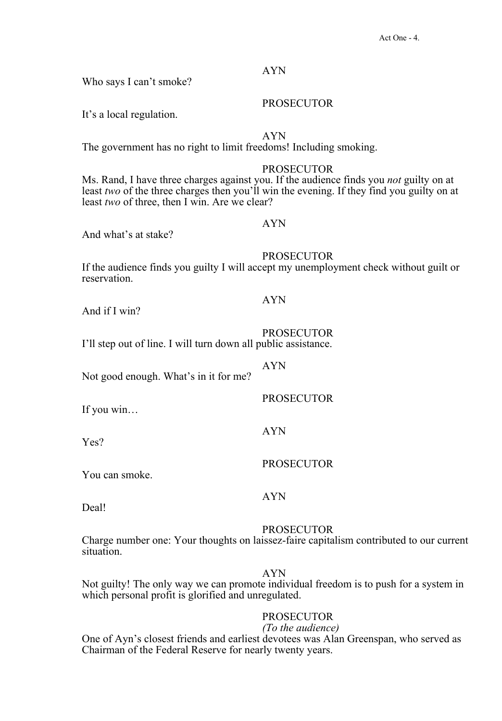Who says I can't smoke?

It's a local regulation.

AYN

The government has no right to limit freedoms! Including smoking.

#### PROSECUTOR

PROSECUTOR

Ms. Rand, I have three charges against you. If the audience finds you *not* guilty on at least *two* of the three charges then you'll win the evening. If they find you guilty on at least *two* of three, then I win. Are we clear?

#### AYN

And what's at stake?

# PROSECUTOR

If the audience finds you guilty I will accept my unemployment check without guilt or reservation.

And if I win?

# AYN

AYN

PROSECUTOR I'll step out of line. I will turn down all public assistance.

Not good enough. What's in it for me?

| If you win | <b>PROSECUTOR</b> |
|------------|-------------------|
| Yes?       | <b>AYN</b>        |
|            | <b>PROSECUTOR</b> |

You can smoke.

# AYN

Deal!

#### PROSECUTOR

Charge number one: Your thoughts on laissez-faire capitalism contributed to our current situation.

# AYN

Not guilty! The only way we can promote individual freedom is to push for a system in which personal profit is glorified and unregulated.

# PROSECUTOR

*(To the audience)* One of Ayn's closest friends and earliest devotees was Alan Greenspan, who served as Chairman of the Federal Reserve for nearly twenty years.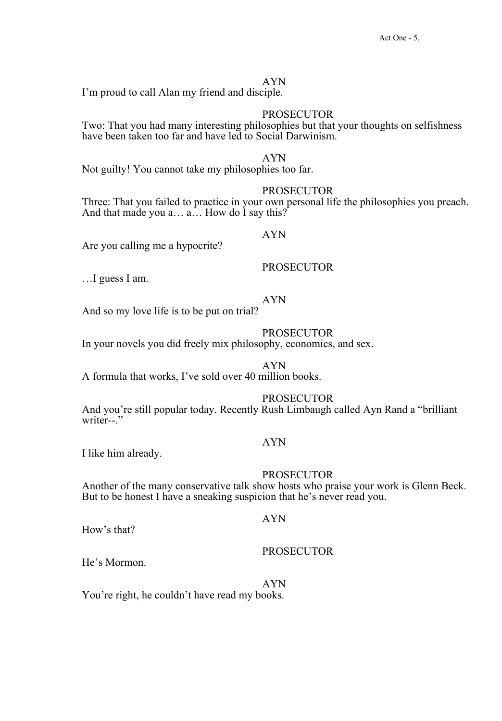I'm proud to call Alan my friend and disciple.

# PROSECUTOR

Two: That you had many interesting philosophies but that your thoughts on selfishness have been taken too far and have led to Social Darwinism.

AYN

Not guilty! You cannot take my philosophies too far.

# PROSECUTOR

Three: That you failed to practice in your own personal life the philosophies you preach. And that made you a... a... How do I say this?

# AYN

Are you calling me a hypocrite?

# PROSECUTOR

…I guess I am.

# AYN

And so my love life is to be put on trial?

# PROSECUTOR

In your novels you did freely mix philosophy, economics, and sex.

AYN

A formula that works, I've sold over 40 million books.

PROSECUTOR

And you're still popular today. Recently Rush Limbaugh called Ayn Rand a "brilliant writer--."

# AYN

I like him already.

### PROSECUTOR

Another of the many conservative talk show hosts who praise your work is Glenn Beck. But to be honest I have a sneaking suspicion that he's never read you.

### AYN

How's that?

### PROSECUTOR

He's Mormon.

AYN You're right, he couldn't have read my books.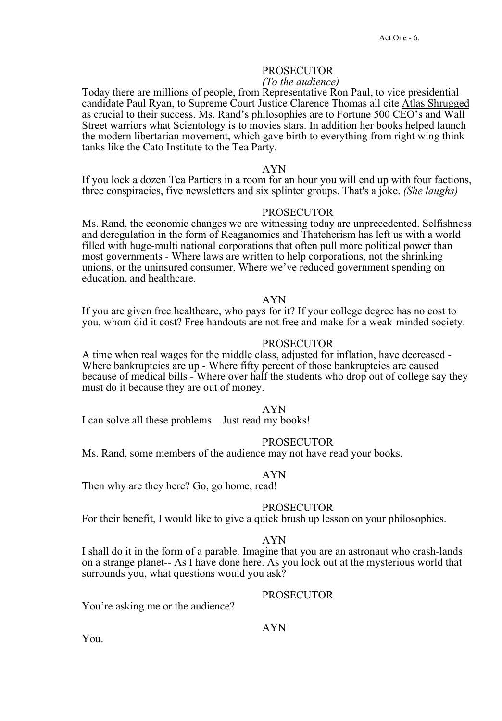# *(To the audience)*

Today there are millions of people, from Representative Ron Paul, to vice presidential candidate Paul Ryan, to Supreme Court Justice Clarence Thomas all cite Atlas Shrugged as crucial to their success. Ms. Rand's philosophies are to Fortune 500 CEO's and Wall Street warriors what Scientology is to movies stars. In addition her books helped launch the modern libertarian movement, which gave birth to everything from right wing think tanks like the Cato Institute to the Tea Party.

#### AYN

If you lock a dozen Tea Partiers in a room for an hour you will end up with four factions, three conspiracies, five newsletters and six splinter groups. That's a joke. *(She laughs)*

#### PROSECUTOR

Ms. Rand, the economic changes we are witnessing today are unprecedented. Selfishness and deregulation in the form of Reaganomics and Thatcherism has left us with a world filled with huge-multi national corporations that often pull more political power than most governments - Where laws are written to help corporations, not the shrinking unions, or the uninsured consumer. Where we've reduced government spending on education, and healthcare.

#### AYN

If you are given free healthcare, who pays for it? If your college degree has no cost to you, whom did it cost? Free handouts are not free and make for a weak-minded society.

#### PROSECUTOR

A time when real wages for the middle class, adjusted for inflation, have decreased - Where bankruptcies are up - Where fifty percent of those bankruptcies are caused because of medical bills - Where over half the students who drop out of college say they must do it because they are out of money.

#### AYN

I can solve all these problems – Just read my books!

#### **PROSECUTOR**

Ms. Rand, some members of the audience may not have read your books.

#### AYN

Then why are they here? Go, go home, read!

# **PROSECUTOR**

For their benefit, I would like to give a quick brush up lesson on your philosophies.

# AYN

I shall do it in the form of a parable. Imagine that you are an astronaut who crash-lands on a strange planet-- As I have done here. As you look out at the mysterious world that surrounds you, what questions would you ask?

# PROSECUTOR

You're asking me or the audience?

# AYN

You.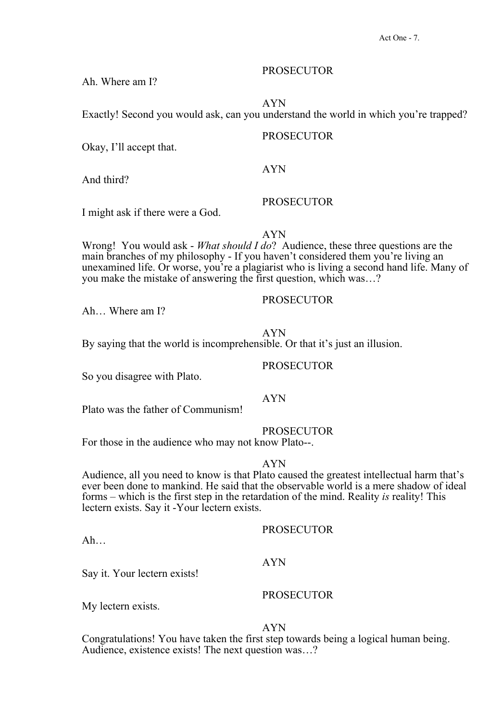Ah. Where am I?

AYN

Exactly! Second you would ask, can you understand the world in which you're trapped?

AYN

#### PROSECUTOR

Okay, I'll accept that.

And third?

**PROSECUTOR** 

I might ask if there were a God.

AYN

Wrong! You would ask - *What should I do*? Audience, these three questions are the main branches of my philosophy - If you haven't considered them you're living an unexamined life. Or worse, you're a plagiarist who is living a second hand life. Many of you make the mistake of answering the first question, which was…?

# PROSECUTOR

AYN

By saying that the world is incomprehensible. Or that it's just an illusion.

PROSECUTOR

So you disagree with Plato.

Ah… Where am I?

AYN

Plato was the father of Communism!

#### PROSECUTOR

For those in the audience who may not know Plato--.

AYN

Audience, all you need to know is that Plato caused the greatest intellectual harm that's ever been done to mankind. He said that the observable world is a mere shadow of ideal forms – which is the first step in the retardation of the mind. Reality *is* reality! This lectern exists. Say it -Your lectern exists.

#### PROSECUTOR

 $Ah...$ 

# AYN

Say it. Your lectern exists!

PROSECUTOR

My lectern exists.

AYN

Congratulations! You have taken the first step towards being a logical human being. Audience, existence exists! The next question was…?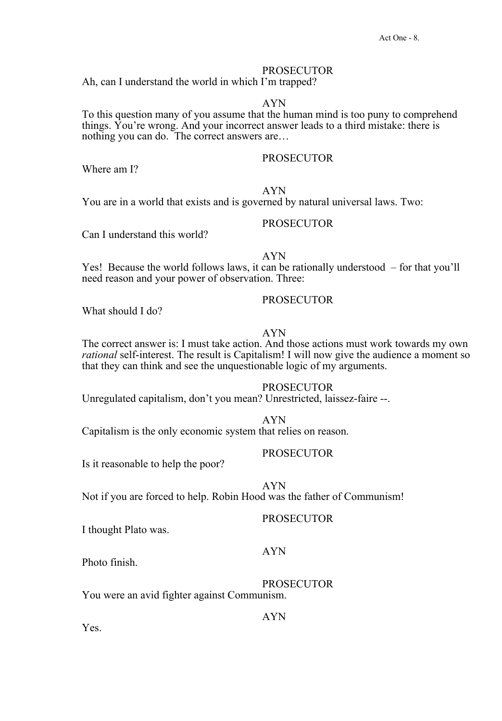Ah, can I understand the world in which I'm trapped?

#### AYN

To this question many of you assume that the human mind is too puny to comprehend things. You're wrong. And your incorrect answer leads to a third mistake: there is nothing you can do. The correct answers are…

# PROSECUTOR

Where am I?

# AYN

You are in a world that exists and is governed by natural universal laws. Two:

# PROSECUTOR

PROSECUTOR

Can I understand this world?

#### AYN

Yes! Because the world follows laws, it can be rationally understood – for that you'll need reason and your power of observation. Three:

What should I do?

The correct answer is: I must take action. And those actions must work towards my own *rational* self-interest. The result is Capitalism! I will now give the audience a moment so that they can think and see the unquestionable logic of my arguments.

AYN

# **PROSECUTOR**

Unregulated capitalism, don't you mean? Unrestricted, laissez-faire --.

#### AYN

Capitalism is the only economic system that relies on reason.

# PROSECUTOR

Is it reasonable to help the poor?

AYN

Not if you are forced to help. Robin Hood was the father of Communism!

#### PROSECUTOR

I thought Plato was.

Photo finish.

#### PROSECUTOR

You were an avid fighter against Communism.

# AYN

AYN

Yes.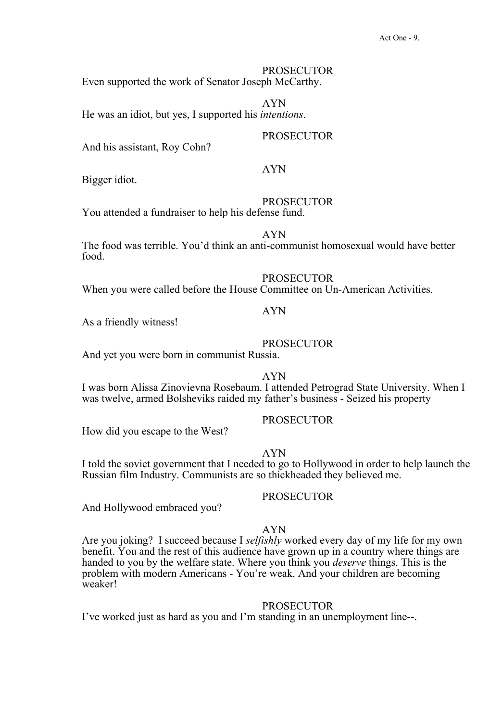PROSECUTOR Even supported the work of Senator Joseph McCarthy.

AYN He was an idiot, but yes, I supported his *intentions*.

# PROSECUTOR

And his assistant, Roy Cohn?

# AYN

Bigger idiot.

# **PROSECUTOR**

You attended a fundraiser to help his defense fund.

# AYN

The food was terrible. You'd think an anti-communist homosexual would have better food.

#### PROSECUTOR

When you were called before the House Committee on Un-American Activities.

# AYN

As a friendly witness!

#### PROSECUTOR

And yet you were born in communist Russia.

### AYN

I was born Alissa Zinovievna Rosebaum. I attended Petrograd State University. When I was twelve, armed Bolsheviks raided my father's business - Seized his property

PROSECUTOR How did you escape to the West?

#### AYN

I told the soviet government that I needed to go to Hollywood in order to help launch the Russian film Industry. Communists are so thickheaded they believed me.

And Hollywood embraced you?

# PROSECUTOR

# AYN

Are you joking? I succeed because I *selfishly* worked every day of my life for my own benefit. You and the rest of this audience have grown up in a country where things are handed to you by the welfare state. Where you think you *deserve* things. This is the problem with modern Americans - You're weak. And your children are becoming weaker!

#### PROSECUTOR

I've worked just as hard as you and I'm standing in an unemployment line--.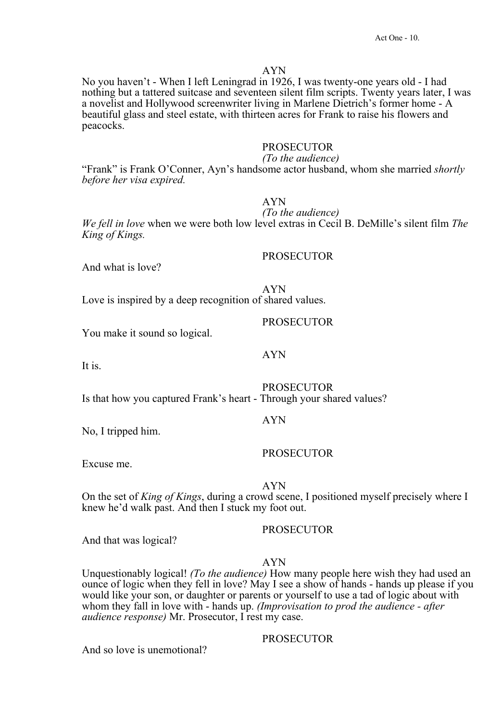No you haven't - When I left Leningrad in 1926, I was twenty-one years old - I had nothing but a tattered suitcase and seventeen silent film scripts. Twenty years later, I was a novelist and Hollywood screenwriter living in Marlene Dietrich's former home - A beautiful glass and steel estate, with thirteen acres for Frank to raise his flowers and peacocks.

# **PROSECUTOR**

*(To the audience)* "Frank" is Frank O'Conner, Ayn's handsome actor husband, whom she married *shortly before her visa expired.*

# AYN

PROSECUTOR

**PROSECUTOR** 

*(To the audience) We fell in love* when we were both low level extras in Cecil B. DeMille's silent film *The King of Kings.*

And what is love?

AYN

Love is inspired by a deep recognition of shared values.

You make it sound so logical.

#### AYN

It is.

**PROSECUTOR** Is that how you captured Frank's heart - Through your shared values?

# AYN

No, I tripped him.

# PROSECUTOR

Excuse me.

#### AYN

On the set of *King of Kings*, during a crowd scene, I positioned myself precisely where I knew he'd walk past. And then I stuck my foot out.

#### PROSECUTOR

And that was logical?

# AYN

Unquestionably logical! *(To the audience)* How many people here wish they had used an ounce of logic when they fell in love? May I see a show of hands - hands up please if you would like your son, or daughter or parents or yourself to use a tad of logic about with whom they fall in love with - hands up. *(Improvisation to prod the audience - after audience response)* Mr. Prosecutor, I rest my case.

#### PROSECUTOR

And so love is unemotional?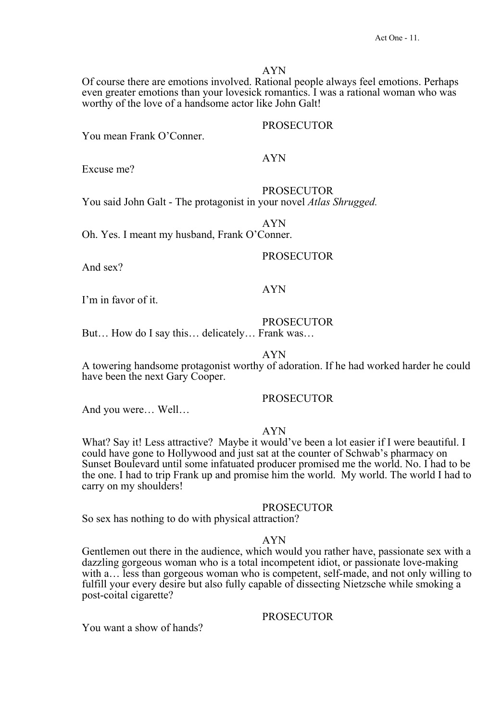Of course there are emotions involved. Rational people always feel emotions. Perhaps even greater emotions than your lovesick romantics. I was a rational woman who was worthy of the love of a handsome actor like John Galt!

#### PROSECUTOR

You mean Frank O'Conner.

#### AYN

Excuse me?

# PROSECUTOR

You said John Galt - The protagonist in your novel *Atlas Shrugged.* 

AYN

AYN

Oh. Yes. I meant my husband, Frank O'Conner.

And sex?

I'm in favor of it.

#### PROSECUTOR

PROSECUTOR

But… How do I say this… delicately… Frank was…

# AYN

A towering handsome protagonist worthy of adoration. If he had worked harder he could have been the next Gary Cooper.

#### PROSECUTOR

And you were… Well…

# AYN

What? Say it! Less attractive? Maybe it would've been a lot easier if I were beautiful. I could have gone to Hollywood and just sat at the counter of Schwab's pharmacy on Sunset Boulevard until some infatuated producer promised me the world. No. I had to be the one. I had to trip Frank up and promise him the world. My world. The world I had to carry on my shoulders!

#### PROSECUTOR

So sex has nothing to do with physical attraction?

# AYN

Gentlemen out there in the audience, which would you rather have, passionate sex with a dazzling gorgeous woman who is a total incompetent idiot, or passionate love-making with a… less than gorgeous woman who is competent, self-made, and not only willing to fulfill your every desire but also fully capable of dissecting Nietzsche while smoking a post-coital cigarette?

PROSECUTOR

You want a show of hands?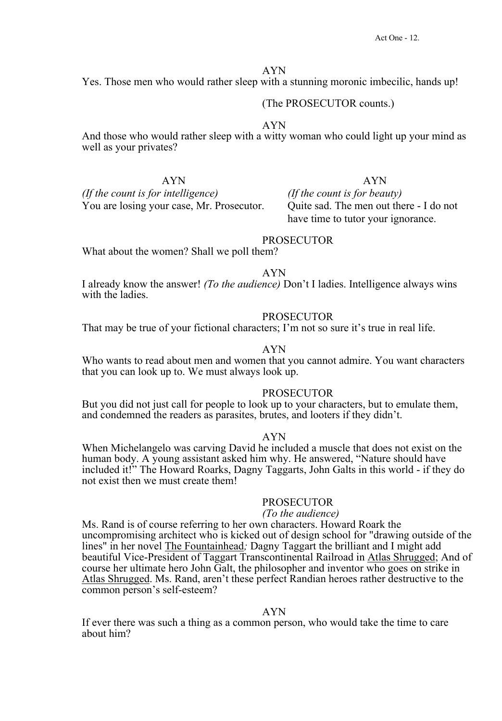Yes. Those men who would rather sleep with a stunning moronic imbecilic, hands up!

(The PROSECUTOR counts.)

# AYN

And those who would rather sleep with a witty woman who could light up your mind as well as your privates?

AYN

#### AYN

*(If the count is for intelligence)*  You are losing your case, Mr. Prosecutor.

*(If the count is for beauty)*  Quite sad. The men out there - I do not have time to tutor your ignorance.

#### PROSECUTOR

What about the women? Shall we poll them?

AYN

I already know the answer! *(To the audience)* Don't I ladies. Intelligence always wins with the ladies.

# PROSECUTOR

That may be true of your fictional characters; I'm not so sure it's true in real life.

#### AYN

Who wants to read about men and women that you cannot admire. You want characters that you can look up to. We must always look up.

#### PROSECUTOR

But you did not just call for people to look up to your characters, but to emulate them, and condemned the readers as parasites, brutes, and looters if they didn't.

#### AYN

When Michelangelo was carving David he included a muscle that does not exist on the human body. A young assistant asked him why. He answered, "Nature should have included it!" The Howard Roarks, Dagny Taggarts, John Galts in this world - if they do not exist then we must create them!

#### **PROSECUTOR**

*(To the audience)* Ms. Rand is of course referring to her own characters. Howard Roark the uncompromising architect who is kicked out of design school for "drawing outside of the lines" in her novel The Fountainhead*;* Dagny Taggart the brilliant and I might add beautiful Vice-President of Taggart Transcontinental Railroad in Atlas Shrugged; And of course her ultimate hero John Galt, the philosopher and inventor who goes on strike in Atlas Shrugged. Ms. Rand, aren't these perfect Randian heroes rather destructive to the common person's self-esteem?

#### AYN

If ever there was such a thing as a common person, who would take the time to care about him?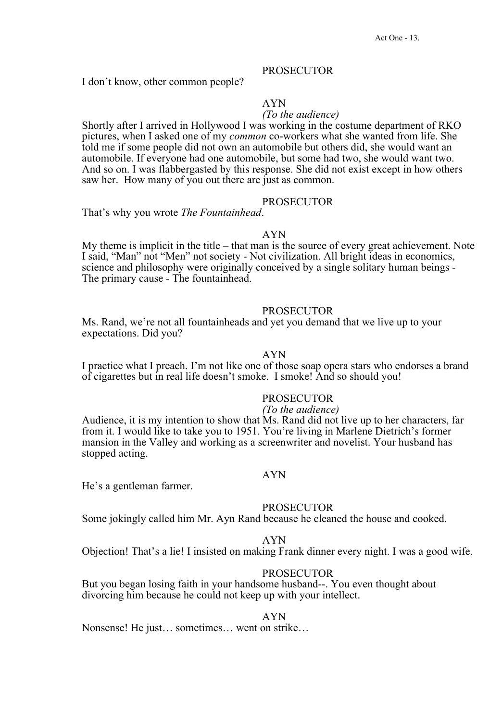I don't know, other common people?

# AYN

# *(To the audience)*

PROSECUTOR

Shortly after I arrived in Hollywood I was working in the costume department of RKO pictures, when I asked one of my *common* co-workers what she wanted from life. She told me if some people did not own an automobile but others did, she would want an automobile. If everyone had one automobile, but some had two, she would want two. And so on. I was flabbergasted by this response. She did not exist except in how others saw her. How many of you out there are just as common.

### **PROSECUTOR**

That's why you wrote *The Fountainhead*.

# AYN

My theme is implicit in the title – that man is the source of every great achievement. Note I said, "Man" not "Men" not society - Not civilization. All bright ideas in economics, science and philosophy were originally conceived by a single solitary human beings - The primary cause - The fountainhead.

# **PROSECUTOR**

Ms. Rand, we're not all fountainheads and yet you demand that we live up to your expectations. Did you?

# AYN

I practice what I preach. I'm not like one of those soap opera stars who endorses a brand of cigarettes but in real life doesn't smoke. I smoke! And so should you!

# PROSECUTOR

*(To the audience)* 

Audience, it is my intention to show that Ms. Rand did not live up to her characters, far from it. I would like to take you to 1951. You're living in Marlene Dietrich's former mansion in the Valley and working as a screenwriter and novelist. Your husband has stopped acting.

# AYN

He's a gentleman farmer.

#### **PROSECUTOR**

Some jokingly called him Mr. Ayn Rand because he cleaned the house and cooked.

#### AYN

Objection! That's a lie! I insisted on making Frank dinner every night. I was a good wife.

# PROSECUTOR

But you began losing faith in your handsome husband--. You even thought about divorcing him because he could not keep up with your intellect.

#### AYN

Nonsense! He just… sometimes… went on strike…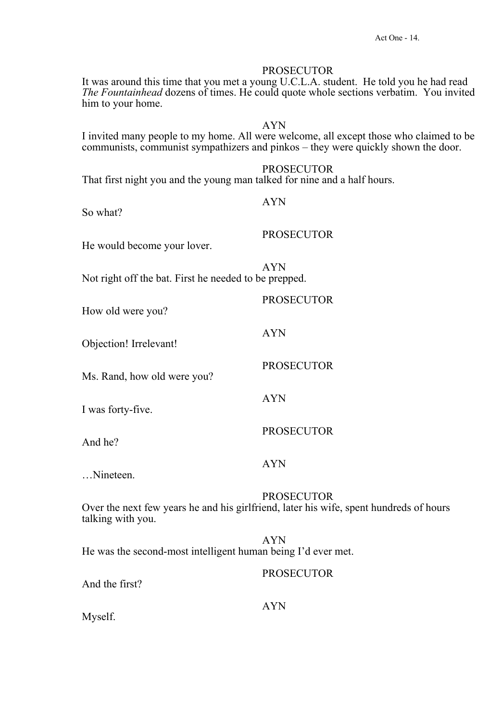|                                                                          | AYN<br>I invited many people to my home. All were welcome, all except those who claimed to<br>communists, communist sympathizers and pinkos – they were quickly shown the door. |
|--------------------------------------------------------------------------|---------------------------------------------------------------------------------------------------------------------------------------------------------------------------------|
| That first night you and the young man talked for nine and a half hours. | <b>PROSECUTOR</b>                                                                                                                                                               |
| So what?                                                                 | <b>AYN</b>                                                                                                                                                                      |
| He would become your lover.                                              | <b>PROSECUTOR</b>                                                                                                                                                               |
| Not right off the bat. First he needed to be prepped.                    | <b>AYN</b>                                                                                                                                                                      |
| How old were you?                                                        | <b>PROSECUTOR</b>                                                                                                                                                               |
| Objection! Irrelevant!                                                   | <b>AYN</b>                                                                                                                                                                      |
| Ms. Rand, how old were you?                                              | <b>PROSECUTOR</b>                                                                                                                                                               |
| I was forty-five.                                                        | <b>AYN</b>                                                                                                                                                                      |
| And he?                                                                  | <b>PROSECUTOR</b>                                                                                                                                                               |
| Nineteen.                                                                | <b>AYN</b>                                                                                                                                                                      |
| talking with you.                                                        | <b>PROSECUTOR</b><br>Over the next few years he and his girlfriend, later his wife, spent hundreds of hours                                                                     |
| He was the second-most intelligent human being I'd ever met.             | <b>AYN</b>                                                                                                                                                                      |
| And the first?                                                           | <b>PROSECUTOR</b>                                                                                                                                                               |
|                                                                          |                                                                                                                                                                                 |

It was around this time that you met a young U.C.L.A. student. He told you he had read *The Fountainhead* dozens of times. He could quote whole sections verbatim. You invited

PROSECUTOR

him to your home.

AYN

And the first? AYN Myself.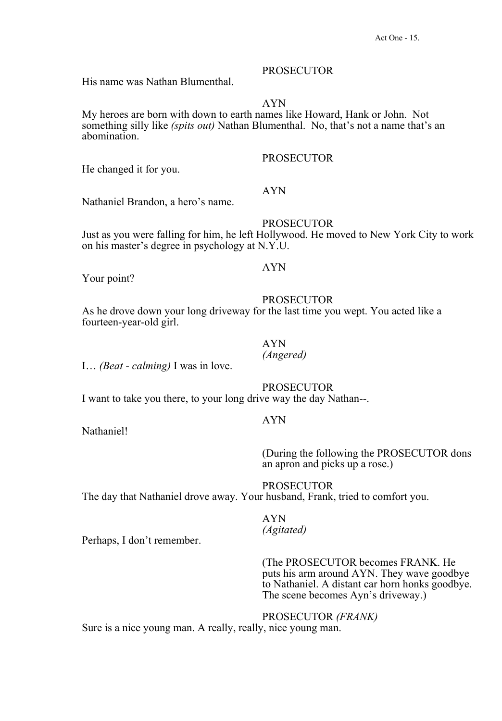His name was Nathan Blumenthal.

AYN

My heroes are born with down to earth names like Howard, Hank or John. Not something silly like *(spits out)* Nathan Blumenthal. No, that's not a name that's an abomination.

#### PROSECUTOR

PROSECUTOR

He changed it for you.

# AYN

Nathaniel Brandon, a hero's name.

#### **PROSECUTOR**

Just as you were falling for him, he left Hollywood. He moved to New York City to work on his master's degree in psychology at N.Y.U.

# AYN

Your point?

# PROSECUTOR

As he drove down your long driveway for the last time you wept. You acted like a fourteen-year-old girl.

# AYN

*(Angered)* 

AYN

I… *(Beat - calming)* I was in love.

**PROSECUTOR** 

I want to take you there, to your long drive way the day Nathan--.

Nathaniel!

(During the following the PROSECUTOR dons an apron and picks up a rose.)

PROSECUTOR The day that Nathaniel drove away. Your husband, Frank, tried to comfort you.

# AYN *(Agitated)*

Perhaps, I don't remember.

(The PROSECUTOR becomes FRANK. He puts his arm around AYN. They wave goodbye to Nathaniel. A distant car horn honks goodbye. The scene becomes Ayn's driveway.)

PROSECUTOR *(FRANK)*

Sure is a nice young man. A really, really, nice young man.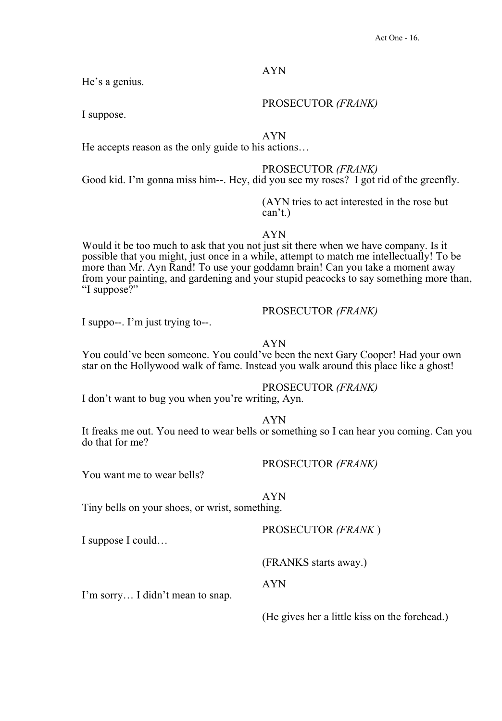He's a genius.

PROSECUTOR *(FRANK)*

I suppose.

AYN

He accepts reason as the only guide to his actions…

#### PROSECUTOR *(FRANK)*

Good kid. I'm gonna miss him--. Hey, did you see my roses? I got rid of the greenfly.

(AYN tries to act interested in the rose but can't.)

AYN

Would it be too much to ask that you not just sit there when we have company. Is it possible that you might, just once in a while, attempt to match me intellectually! To be more than Mr. Ayn Rand! To use your goddamn brain! Can you take a moment away from your painting, and gardening and your stupid peacocks to say something more than, "I suppose?"

I suppo--. I'm just trying to--.

# PROSECUTOR *(FRANK)*

AYN

You could've been someone. You could've been the next Gary Cooper! Had your own star on the Hollywood walk of fame. Instead you walk around this place like a ghost!

# PROSECUTOR *(FRANK)*

I don't want to bug you when you're writing, Ayn.

#### AYN

It freaks me out. You need to wear bells or something so I can hear you coming. Can you do that for me?

PROSECUTOR *(FRANK)*

You want me to wear bells?

AYN

Tiny bells on your shoes, or wrist, something.

I suppose I could…

PROSECUTOR *(FRANK* )

(FRANKS starts away.)

AYN

I'm sorry… I didn't mean to snap.

(He gives her a little kiss on the forehead.)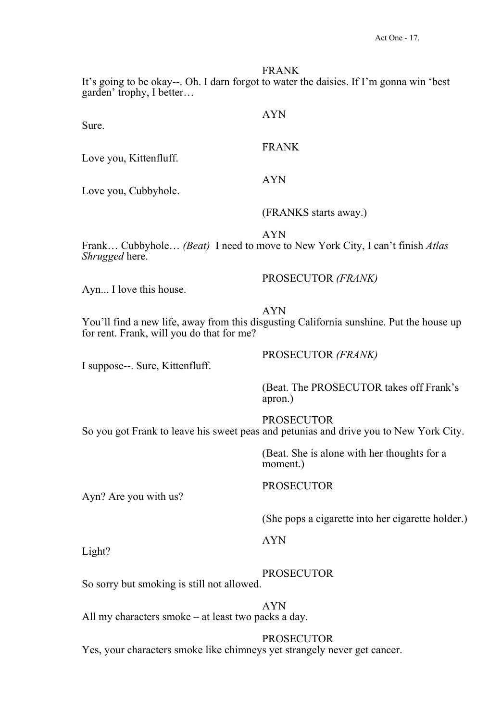#### FRANK

FRANK

AYN

It's going to be okay--. Oh. I darn forgot to water the daisies. If I'm gonna win 'best garden' trophy, I better…

AYN

Sure.

Love you, Kittenfluff.

Love you, Cubbyhole.

(FRANKS starts away.)

AYN

Frank… Cubbyhole… *(Beat)* I need to move to New York City, I can't finish *Atlas Shrugged* here.

PROSECUTOR *(FRANK)*

Ayn... I love this house.

AYN

You'll find a new life, away from this disgusting California sunshine. Put the house up for rent. Frank, will you do that for me?

I suppose--. Sure, Kittenfluff.

# PROSECUTOR *(FRANK)*

(Beat. The PROSECUTOR takes off Frank's apron.)

PROSECUTOR

So you got Frank to leave his sweet peas and petunias and drive you to New York City.

(Beat. She is alone with her thoughts for a moment.)

Ayn? Are you with us?

# PROSECUTOR

(She pops a cigarette into her cigarette holder.)

AYN

Light?

PROSECUTOR

So sorry but smoking is still not allowed.

AYN

All my characters smoke – at least two packs a day.

PROSECUTOR

Yes, your characters smoke like chimneys yet strangely never get cancer.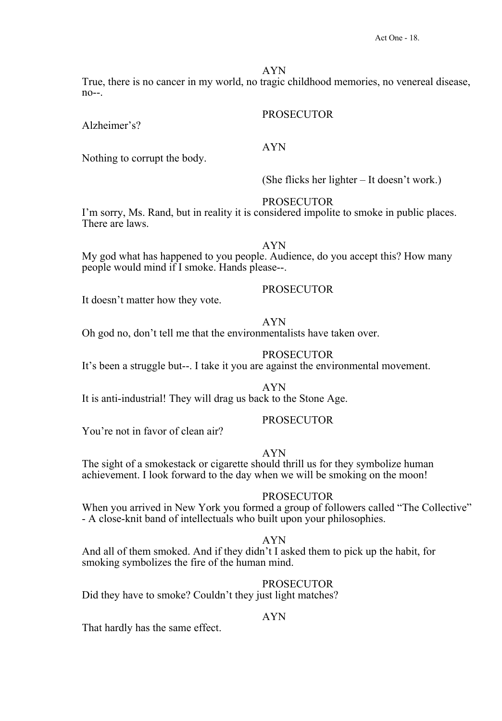True, there is no cancer in my world, no tragic childhood memories, no venereal disease, no--.

# PROSECUTOR

Alzheimer's?

AYN

Nothing to corrupt the body.

(She flicks her lighter – It doesn't work.)

# **PROSECUTOR**

I'm sorry, Ms. Rand, but in reality it is considered impolite to smoke in public places. There are laws.

AYN

My god what has happened to you people. Audience, do you accept this? How many people would mind if I smoke. Hands please--.

# PROSECUTOR

It doesn't matter how they vote.

#### AYN

Oh god no, don't tell me that the environmentalists have taken over.

PROSECUTOR

It's been a struggle but--. I take it you are against the environmental movement.

AYN It is anti-industrial! They will drag us back to the Stone Age.

You're not in favor of clean air?

# PROSECUTOR

# AYN

The sight of a smokestack or cigarette should thrill us for they symbolize human achievement. I look forward to the day when we will be smoking on the moon!

# PROSECUTOR

When you arrived in New York you formed a group of followers called "The Collective" - A close-knit band of intellectuals who built upon your philosophies.

# AYN

And all of them smoked. And if they didn't I asked them to pick up the habit, for smoking symbolizes the fire of the human mind.

# **PROSECUTOR**

Did they have to smoke? Couldn't they just light matches?

# AYN

That hardly has the same effect.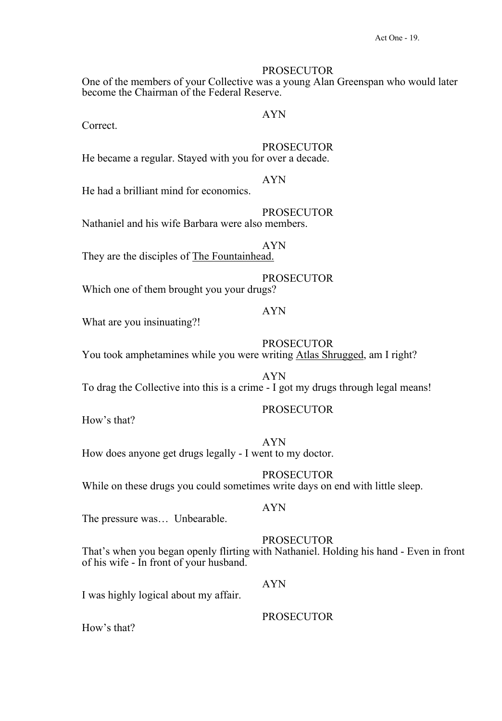One of the members of your Collective was a young Alan Greenspan who would later become the Chairman of the Federal Reserve.

# AYN

Correct.

# **PROSECUTOR**

He became a regular. Stayed with you for over a decade.

# AYN

He had a brilliant mind for economics.

PROSECUTOR Nathaniel and his wife Barbara were also members.

AYN They are the disciples of The Fountainhead.

PROSECUTOR

Which one of them brought you your drugs?

# AYN

What are you insinuating?!

# PROSECUTOR

You took amphetamines while you were writing Atlas Shrugged, am I right?

### AYN

To drag the Collective into this is a crime - I got my drugs through legal means!

# PROSECUTOR

How's that?

### AYN How does anyone get drugs legally - I went to my doctor.

PROSECUTOR

While on these drugs you could sometimes write days on end with little sleep.

# AYN

The pressure was… Unbearable.

# PROSECUTOR

That's when you began openly flirting with Nathaniel. Holding his hand - Even in front of his wife - In front of your husband.

AYN

I was highly logical about my affair.

# PROSECUTOR

How's that?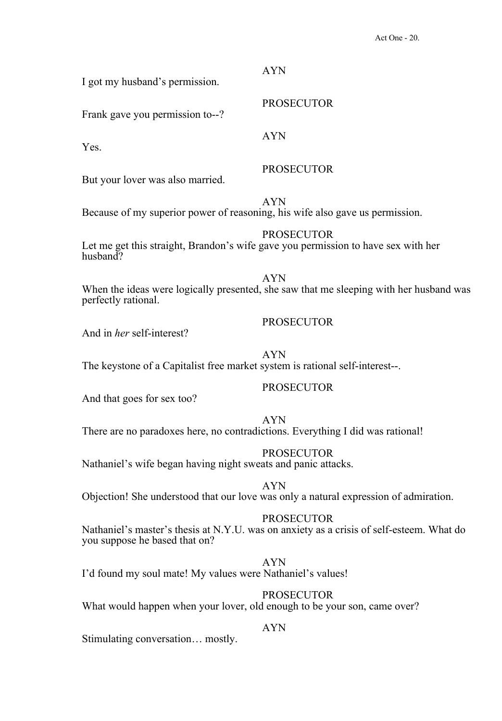I got my husband's permission. PROSECUTOR Frank gave you permission to--? AYN Yes. PROSECUTOR But your lover was also married. AYN Because of my superior power of reasoning, his wife also gave us permission. PROSECUTOR Let me get this straight, Brandon's wife gave you permission to have sex with her husband? AYN When the ideas were logically presented, she saw that me sleeping with her husband was perfectly rational. **PROSECUTOR** 

And in *her* self-interest?

AYN

The keystone of a Capitalist free market system is rational self-interest--.

# **PROSECUTOR**

And that goes for sex too?

#### AYN

AYN

There are no paradoxes here, no contradictions. Everything I did was rational!

# PROSECUTOR

Nathaniel's wife began having night sweats and panic attacks.

#### AYN

Objection! She understood that our love was only a natural expression of admiration.

#### PROSECUTOR

Nathaniel's master's thesis at N.Y.U. was on anxiety as a crisis of self-esteem. What do you suppose he based that on?

# AYN

I'd found my soul mate! My values were Nathaniel's values!

# PROSECUTOR

What would happen when your lover, old enough to be your son, came over?

# AYN

Stimulating conversation… mostly.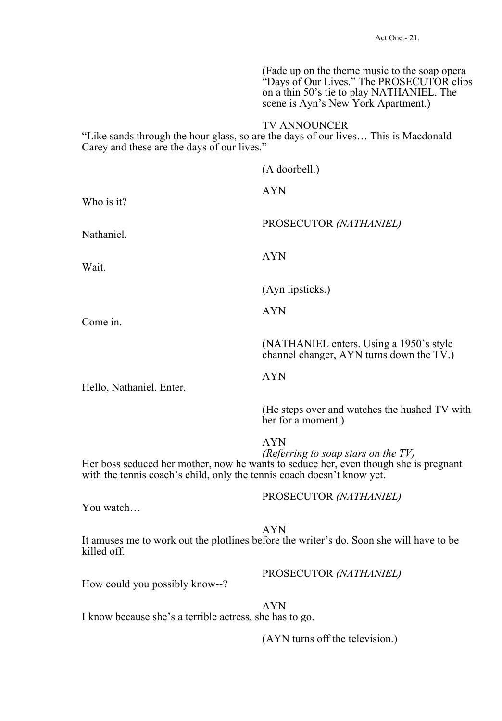(Fade up on the theme music to the soap opera "Days of Our Lives." The PROSECUTOR clips on a thin 50's tie to play NATHANIEL. The scene is Ayn's New York Apartment.)

# TV ANNOUNCER

"Like sands through the hour glass, so are the days of our lives… This is Macdonald Carey and these are the days of our lives."

|                                                                        | (A doorbell.)                                                                                                                                |
|------------------------------------------------------------------------|----------------------------------------------------------------------------------------------------------------------------------------------|
| Who is it?                                                             | <b>AYN</b>                                                                                                                                   |
| Nathaniel.                                                             | PROSECUTOR (NATHANIEL)                                                                                                                       |
| Wait.                                                                  | <b>AYN</b>                                                                                                                                   |
|                                                                        | (Ayn lipsticks.)                                                                                                                             |
| Come in.                                                               | <b>AYN</b>                                                                                                                                   |
|                                                                        | (NATHANIEL enters. Using a 1950's style<br>channel changer, AYN turns down the TV.)                                                          |
| Hello, Nathaniel. Enter.                                               | <b>AYN</b>                                                                                                                                   |
|                                                                        | (He steps over and watches the hushed TV with<br>her for a moment.)                                                                          |
| with the tennis coach's child, only the tennis coach doesn't know yet. | <b>AYN</b><br>(Referring to soap stars on the $TV$ )<br>Her boss seduced her mother, now he wants to seduce her, even though she is pregnant |
| You watch                                                              | PROSECUTOR (NATHANIEL)                                                                                                                       |
| killed off.                                                            | <b>AYN</b><br>It amuses me to work out the plotlines before the writer's do. Soon she will have to be                                        |
| How could you possibly know--?                                         | PROSECUTOR (NATHANIEL)                                                                                                                       |
|                                                                        | <b>AYN</b>                                                                                                                                   |

I know because she's a terrible actress, she has to go.

(AYN turns off the television.)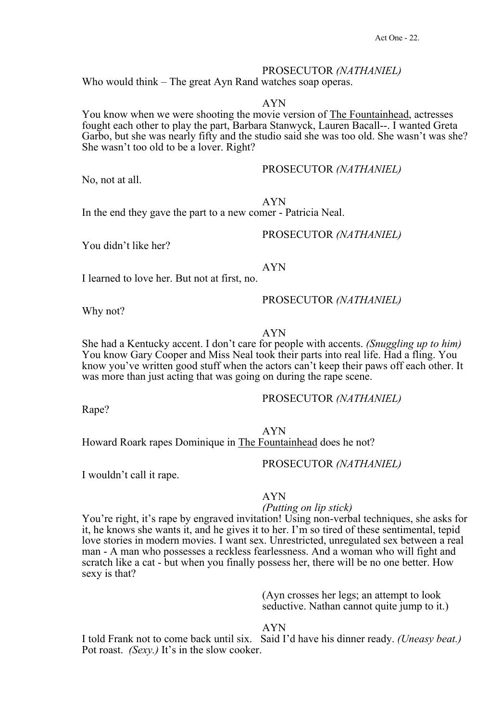#### PROSECUTOR *(NATHANIEL)*

Who would think – The great Ayn Rand watches soap operas.

#### AYN

You know when we were shooting the movie version of The Fountainhead, actresses fought each other to play the part, Barbara Stanwyck, Lauren Bacall--. I wanted Greta Garbo, but she was nearly fifty and the studio said she was too old. She wasn't was she? She wasn't too old to be a lover. Right?

# PROSECUTOR *(NATHANIEL)*

No, not at all.

AYN In the end they gave the part to a new comer - Patricia Neal.

You didn't like her?

#### PROSECUTOR *(NATHANIEL)*

AYN

I learned to love her. But not at first, no.

#### PROSECUTOR *(NATHANIEL)*

Why not?

#### AYN

She had a Kentucky accent. I don't care for people with accents. *(Snuggling up to him)*  You know Gary Cooper and Miss Neal took their parts into real life. Had a fling. You know you've written good stuff when the actors can't keep their paws off each other. It was more than just acting that was going on during the rape scene.

#### PROSECUTOR *(NATHANIEL)*

Rape?

#### AYN

Howard Roark rapes Dominique in The Fountainhead does he not?

PROSECUTOR *(NATHANIEL)*

I wouldn't call it rape.

#### AYN

#### *(Putting on lip stick)*

You're right, it's rape by engraved invitation! Using non-verbal techniques, she asks for it, he knows she wants it, and he gives it to her. I'm so tired of these sentimental, tepid love stories in modern movies. I want sex. Unrestricted, unregulated sex between a real man - A man who possesses a reckless fearlessness. And a woman who will fight and scratch like a cat - but when you finally possess her, there will be no one better. How sexy is that?

> (Ayn crosses her legs; an attempt to look seductive. Nathan cannot quite jump to it.)

# AYN

I told Frank not to come back until six. Said I'd have his dinner ready. *(Uneasy beat.)* Pot roast. *(Sexy.)* It's in the slow cooker.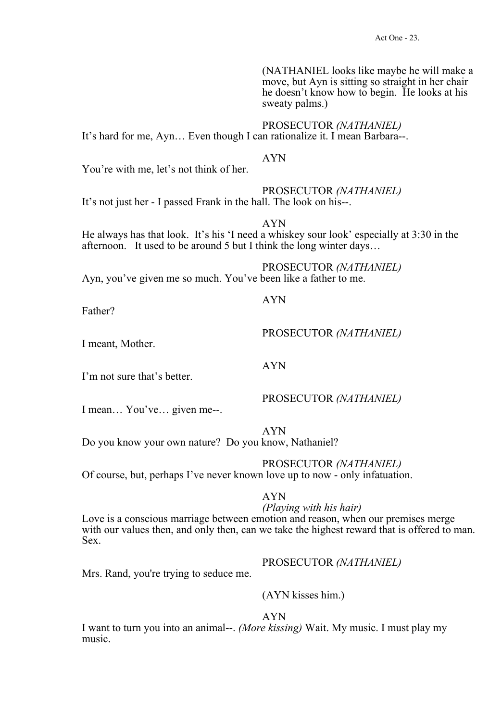(NATHANIEL looks like maybe he will make a move, but Ayn is sitting so straight in her chair he doesn't know how to begin. He looks at his sweaty palms.)

# PROSECUTOR *(NATHANIEL)*

It's hard for me, Ayn… Even though I can rationalize it. I mean Barbara--.

# AYN

You're with me, let's not think of her.

### PROSECUTOR *(NATHANIEL)*

It's not just her - I passed Frank in the hall. The look on his--.

### AYN

He always has that look. It's his 'I need a whiskey sour look' especially at 3:30 in the afternoon. It used to be around 5 but I think the long winter days…

# PROSECUTOR *(NATHANIEL)*

Ayn, you've given me so much. You've been like a father to me.

Father?

I meant, Mother.

I'm not sure that's better.

PROSECUTOR *(NATHANIEL)*

I mean… You've… given me--.

AYN

Do you know your own nature? Do you know, Nathaniel?

PROSECUTOR *(NATHANIEL)*

Of course, but, perhaps I've never known love up to now - only infatuation.

# AYN

# *(Playing with his hair)*

Love is a conscious marriage between emotion and reason, when our premises merge with our values then, and only then, can we take the highest reward that is offered to man. Sex.

PROSECUTOR *(NATHANIEL)*

Mrs. Rand, you're trying to seduce me.

# (AYN kisses him.)

AYN

I want to turn you into an animal--. *(More kissing)* Wait. My music. I must play my music.

AYN

PROSECUTOR *(NATHANIEL)*

AYN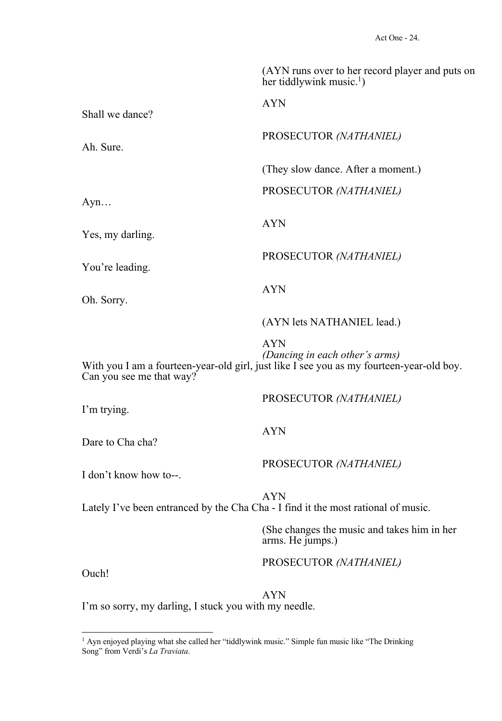|                          | (AYN runs over to her record player and puts on<br>her tiddlywink music. $\frac{1}{2}$ )                                                 |
|--------------------------|------------------------------------------------------------------------------------------------------------------------------------------|
| Shall we dance?          | <b>AYN</b>                                                                                                                               |
| Ah. Sure.                | PROSECUTOR (NATHANIEL)                                                                                                                   |
|                          | (They slow dance. After a moment.)                                                                                                       |
| Ayn                      | PROSECUTOR (NATHANIEL)                                                                                                                   |
| Yes, my darling.         | <b>AYN</b>                                                                                                                               |
| You're leading.          | PROSECUTOR (NATHANIEL)                                                                                                                   |
| Oh. Sorry.               | <b>AYN</b>                                                                                                                               |
|                          | (AYN lets NATHANIEL lead.)                                                                                                               |
| Can you see me that way? | <b>AYN</b><br>(Dancing in each other's arms)<br>With you I am a fourteen-year-old girl, just like I see you as my fourteen-year-old boy. |
| I'm trying.              | PROSECUTOR (NATHANIEL)                                                                                                                   |
| Dare to Cha cha?         | <b>AYN</b>                                                                                                                               |
| I don't know how to--.   | PROSECUTOR (NATHANIEL)                                                                                                                   |

Lately I've been entranced by the Cha Cha - I find it the most rational of music.

(She changes the music and takes him in her arms. He jumps.)

# PROSECUTOR *(NATHANIEL)*

Ouch!

AYN I'm so sorry, my darling, I stuck you with my needle.

<sup>&</sup>lt;sup>1</sup> Ayn enjoyed playing what she called her "tiddlywink music." Simple fun music like "The Drinking Song" from Verdi's *La Traviata*.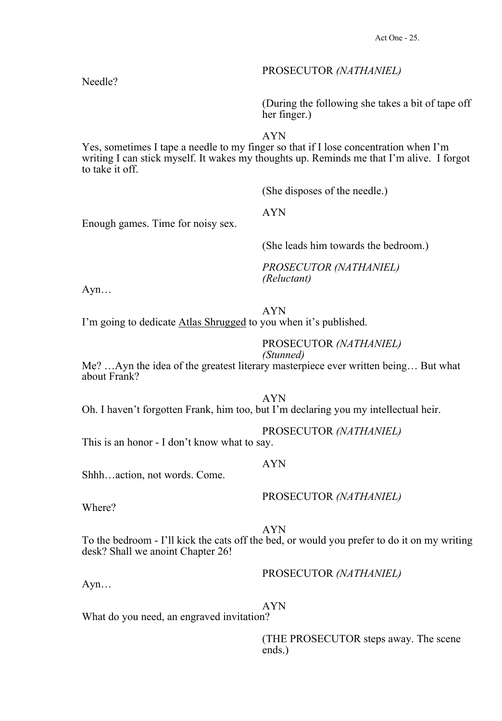# PROSECUTOR *(NATHANIEL)*

(During the following she takes a bit of tape off her finger.)

AYN

Yes, sometimes I tape a needle to my finger so that if I lose concentration when I'm writing I can stick myself. It wakes my thoughts up. Reminds me that I'm alive. I forgot to take it off.

AYN

(She disposes of the needle.)

Enough games. Time for noisy sex.

(She leads him towards the bedroom.)

*PROSECUTOR (NATHANIEL) (Reluctant)* 

Ayn…

AYN

I'm going to dedicate Atlas Shrugged to you when it's published.

PROSECUTOR *(NATHANIEL)*

*(Stunned)* Me? …Ayn the idea of the greatest literary masterpiece ever written being… But what about Frank?

AYN

AYN

Oh. I haven't forgotten Frank, him too, but I'm declaring you my intellectual heir.

PROSECUTOR *(NATHANIEL)*

This is an honor - I don't know what to say.

Shhh…action, not words. Come.

### PROSECUTOR *(NATHANIEL)*

Where?

AYN

To the bedroom - I'll kick the cats off the bed, or would you prefer to do it on my writing desk? Shall we anoint Chapter 26!

PROSECUTOR *(NATHANIEL)*

Ayn…

AYN

What do you need, an engraved invitation?

(THE PROSECUTOR steps away. The scene ends.)

Needle?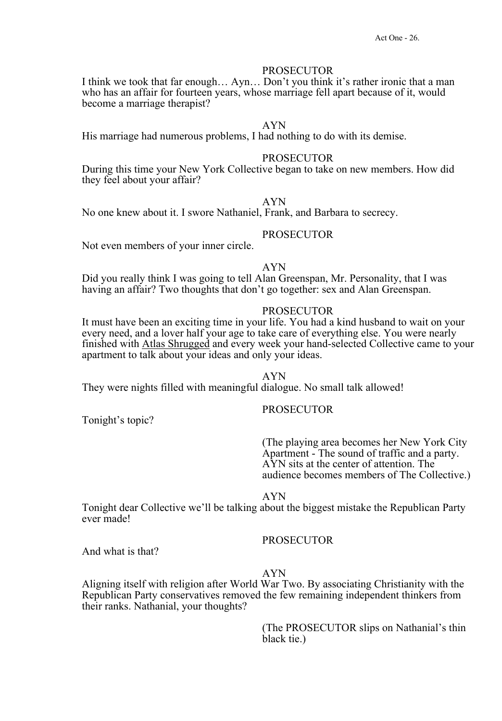I think we took that far enough… Ayn… Don't you think it's rather ironic that a man who has an affair for fourteen years, whose marriage fell apart because of it, would become a marriage therapist?

# AYN

His marriage had numerous problems, I had nothing to do with its demise.

# PROSECUTOR

During this time your New York Collective began to take on new members. How did they feel about your affair?

#### AYN

No one knew about it. I swore Nathaniel, Frank, and Barbara to secrecy.

# PROSECUTOR

Not even members of your inner circle.

#### AYN

Did you really think I was going to tell Alan Greenspan, Mr. Personality, that I was having an affair? Two thoughts that don't go together: sex and Alan Greenspan.

# PROSECUTOR

It must have been an exciting time in your life. You had a kind husband to wait on your every need, and a lover half your age to take care of everything else. You were nearly finished with Atlas Shrugged and every week your hand-selected Collective came to your apartment to talk about your ideas and only your ideas.

#### AYN

They were nights filled with meaningful dialogue. No small talk allowed!

Tonight's topic?

#### PROSECUTOR

(The playing area becomes her New York City Apartment - The sound of traffic and a party. AYN sits at the center of attention. The audience becomes members of The Collective.)

#### AYN

Tonight dear Collective we'll be talking about the biggest mistake the Republican Party ever made!

# PROSECUTOR

And what is that?

#### AYN

Aligning itself with religion after World War Two. By associating Christianity with the Republican Party conservatives removed the few remaining independent thinkers from their ranks. Nathanial, your thoughts?

> (The PROSECUTOR slips on Nathanial's thin black tie.)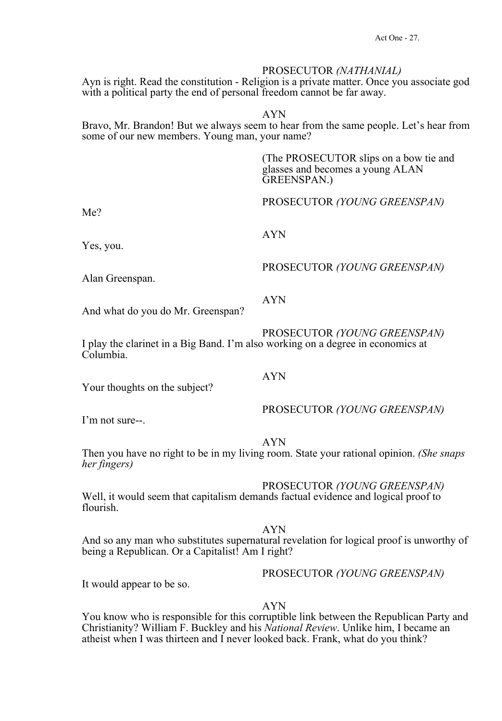# PROSECUTOR *(NATHANIAL)*

Ayn is right. Read the constitution - Religion is a private matter. Once you associate god with a political party the end of personal freedom cannot be far away.

#### AYN

Bravo, Mr. Brandon! But we always seem to hear from the same people. Let's hear from some of our new members. Young man, your name?

> (The PROSECUTOR slips on a bow tie and glasses and becomes a young ALAN GREENSPAN.)

PROSECUTOR *(YOUNG GREENSPAN)*

PROSECUTOR *(YOUNG GREENSPAN)*

Me?

# AYN

Yes, you.

Alan Greenspan.

And what do you do Mr. Greenspan?

PROSECUTOR *(YOUNG GREENSPAN)*

I play the clarinet in a Big Band. I'm also working on a degree in economics at Columbia.

# AYN

Your thoughts on the subject?

I'm not sure--.

AYN

Then you have no right to be in my living room. State your rational opinion. *(She snaps her fingers)*

# PROSECUTOR *(YOUNG GREENSPAN)*

PROSECUTOR *(YOUNG GREENSPAN)*

Well, it would seem that capitalism demands factual evidence and logical proof to flourish.

AYN

And so any man who substitutes supernatural revelation for logical proof is unworthy of being a Republican. Or a Capitalist! Am I right?

PROSECUTOR *(YOUNG GREENSPAN)*

It would appear to be so.

# AYN

You know who is responsible for this corruptible link between the Republican Party and Christianity? William F. Buckley and his *National Review*. Unlike him, I became an atheist when I was thirteen and I never looked back. Frank, what do you think?

AYN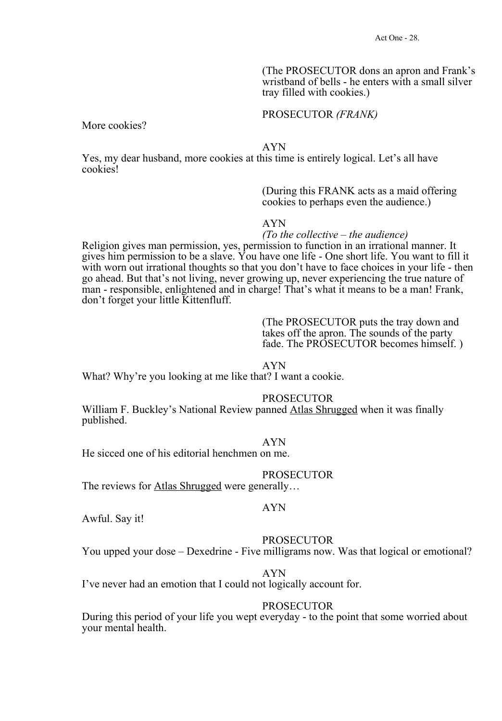(The PROSECUTOR dons an apron and Frank's wristband of bells - he enters with a small silver tray filled with cookies.)

# PROSECUTOR *(FRANK)*

More cookies?

AYN

Yes, my dear husband, more cookies at this time is entirely logical. Let's all have cookies!

> (During this FRANK acts as a maid offering cookies to perhaps even the audience.)

#### AYN

*(To the collective – the audience)* Religion gives man permission, yes, permission to function in an irrational manner. It gives him permission to be a slave. You have one life - One short life. You want to fill it with worn out irrational thoughts so that you don't have to face choices in your life - then go ahead. But that's not living, never growing up, never experiencing the true nature of man - responsible, enlightened and in charge! That's what it means to be a man! Frank, don't forget your little Kittenfluff.

> (The PROSECUTOR puts the tray down and takes off the apron. The sounds of the party fade. The PROSECUTOR becomes himself. )

AYN

What? Why're you looking at me like that? I want a cookie.

PROSECUTOR

William F. Buckley's National Review panned **Atlas Shrugged** when it was finally published.

AYN

He sicced one of his editorial henchmen on me.

PROSECUTOR

The reviews for Atlas Shrugged were generally…

#### AYN

Awful. Say it!

# PROSECUTOR

You upped your dose – Dexedrine - Five milligrams now. Was that logical or emotional?

AYN

I've never had an emotion that I could not logically account for.

#### PROSECUTOR

During this period of your life you wept everyday - to the point that some worried about your mental health.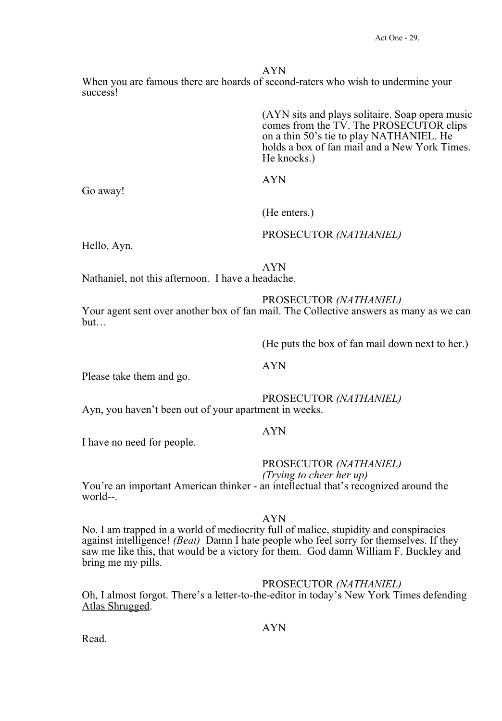When you are famous there are hoards of second-raters who wish to undermine your success!

> (AYN sits and plays solitaire. Soap opera music comes from the TV. The PROSECUTOR clips on a thin 50's tie to play NATHANIEL. He holds a box of fan mail and a New York Times. He knocks.)

AYN

Go away!

(He enters.)

PROSECUTOR *(NATHANIEL)*

Hello, Ayn.

AYN

Nathaniel, not this afternoon. I have a headache.

# PROSECUTOR *(NATHANIEL)*

Your agent sent over another box of fan mail. The Collective answers as many as we can but…

(He puts the box of fan mail down next to her.)

AYN

Please take them and go.

PROSECUTOR *(NATHANIEL)*

Ayn, you haven't been out of your apartment in weeks.

# AYN

I have no need for people.

#### PROSECUTOR *(NATHANIEL)*

*(Trying to cheer her up)*

You're an important American thinker - an intellectual that's recognized around the world--.

#### AYN

No. I am trapped in a world of mediocrity full of malice, stupidity and conspiracies against intelligence! *(Beat)* Damn I hate people who feel sorry for themselves. If they saw me like this, that would be a victory for them. God damn William F. Buckley and bring me my pills.

#### PROSECUTOR *(NATHANIEL)*

Oh, I almost forgot. There's a letter-to-the-editor in today's New York Times defending Atlas Shrugged.

# AYN

Read.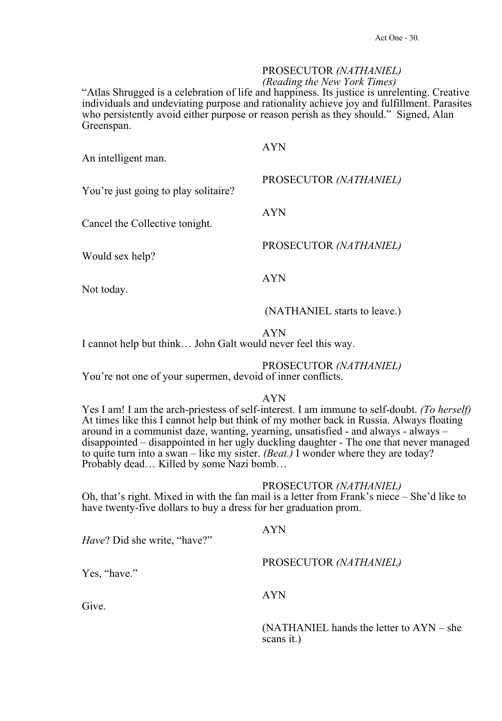#### PROSECUTOR *(NATHANIEL) (Reading the New York Times)*

"Atlas Shrugged is a celebration of life and happiness. Its justice is unrelenting. Creative individuals and undeviating purpose and rationality achieve joy and fulfillment. Parasites who persistently avoid either purpose or reason perish as they should." Signed, Alan Greenspan.

| An intelligent man.                  | <b>AYN</b>                   |
|--------------------------------------|------------------------------|
| You're just going to play solitaire? | PROSECUTOR (NATHANIEL)       |
| Cancel the Collective tonight.       | <b>AYN</b>                   |
| Would sex help?                      | PROSECUTOR (NATHANIEL)       |
| Not today.                           | <b>AYN</b>                   |
|                                      | (NATHANIEL starts to leave.) |

AYN

I cannot help but think… John Galt would never feel this way.

### PROSECUTOR *(NATHANIEL)*

You're not one of your supermen, devoid of inner conflicts.

### AYN

Yes I am! I am the arch-priestess of self-interest. I am immune to self-doubt. *(To herself)* At times like this I cannot help but think of my mother back in Russia. Always floating around in a communist daze, wanting, yearning, unsatisfied - and always - always – disappointed – disappointed in her ugly duckling daughter - The one that never managed to quite turn into a swan – like my sister. *(Beat.)* I wonder where they are today? Probably dead… Killed by some Nazi bomb…

# PROSECUTOR *(NATHANIEL)*

Oh, that's right. Mixed in with the fan mail is a letter from Frank's niece – She'd like to have twenty-five dollars to buy a dress for her graduation prom.

AYN

*Have*? Did she write, "have?"

Yes, "have."

PROSECUTOR *(NATHANIEL)*

AYN

Give.

(NATHANIEL hands the letter to AYN – she scans it.)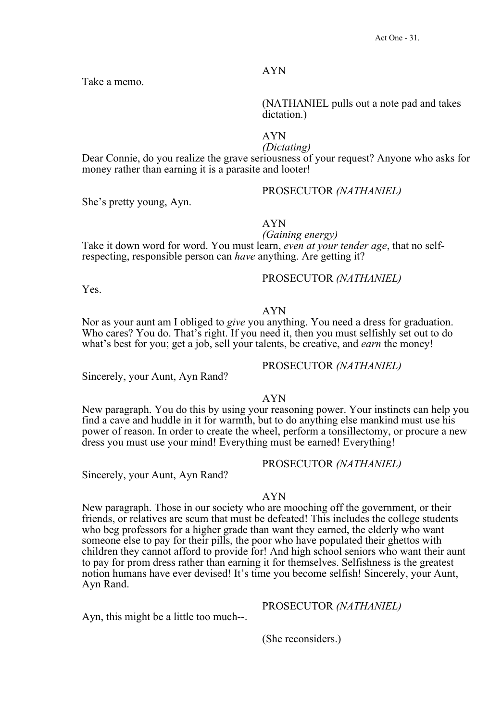Take a memo.

(NATHANIEL pulls out a note pad and takes dictation.)

# AYN

*(Dictating)* Dear Connie, do you realize the grave seriousness of your request? Anyone who asks for money rather than earning it is a parasite and looter!

She's pretty young, Ayn.

# PROSECUTOR *(NATHANIEL)*

AYN

*(Gaining energy)* Take it down word for word. You must learn, *even at your tender age*, that no self- respecting, responsible person can *have* anything. Are getting it?

# PROSECUTOR *(NATHANIEL)*

Yes.

# AYN

Nor as your aunt am I obliged to *give* you anything. You need a dress for graduation. Who cares? You do. That's right. If you need it, then you must selfishly set out to do what's best for you; get a job, sell your talents, be creative, and *earn* the money!

# PROSECUTOR *(NATHANIEL)*

PROSECUTOR *(NATHANIEL)*

PROSECUTOR *(NATHANIEL)*

Sincerely, your Aunt, Ayn Rand?

#### AYN

New paragraph. You do this by using your reasoning power. Your instincts can help you find a cave and huddle in it for warmth, but to do anything else mankind must use his power of reason. In order to create the wheel, perform a tonsillectomy, or procure a new dress you must use your mind! Everything must be earned! Everything!

Sincerely, your Aunt, Ayn Rand?

#### AYN

New paragraph. Those in our society who are mooching off the government, or their friends, or relatives are scum that must be defeated! This includes the college students who beg professors for a higher grade than want they earned, the elderly who want someone else to pay for their pills, the poor who have populated their ghettos with children they cannot afford to provide for! And high school seniors who want their aunt to pay for prom dress rather than earning it for themselves. Selfishness is the greatest notion humans have ever devised! It's time you become selfish! Sincerely, your Aunt, Ayn Rand.

Ayn, this might be a little too much--.

(She reconsiders.)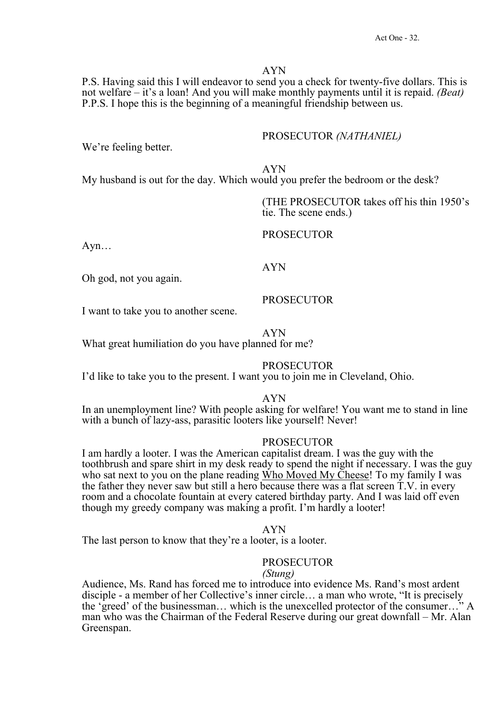P.S. Having said this I will endeavor to send you a check for twenty-five dollars. This is not welfare – it's a loan! And you will make monthly payments until it is repaid. *(Beat)* P.P.S. I hope this is the beginning of a meaningful friendship between us.

# PROSECUTOR *(NATHANIEL)*

We're feeling better.

AYN

My husband is out for the day. Which would you prefer the bedroom or the desk?

(THE PROSECUTOR takes off his thin 1950's tie. The scene ends.)

# PROSECUTOR

Ayn…

AYN

Oh god, not you again.

I want to take you to another scene.

AYN

What great humiliation do you have planned for me?

### PROSECUTOR

PROSECUTOR

I'd like to take you to the present. I want you to join me in Cleveland, Ohio.

#### AYN

In an unemployment line? With people asking for welfare! You want me to stand in line with a bunch of lazy-ass, parasitic looters like yourself! Never!

#### **PROSECUTOR**

I am hardly a looter. I was the American capitalist dream. I was the guy with the toothbrush and spare shirt in my desk ready to spend the night if necessary. I was the guy who sat next to you on the plane reading Who Moved My Cheese! To my family I was the father they never saw but still a hero because there was a flat screen T.V. in every room and a chocolate fountain at every catered birthday party. And I was laid off even though my greedy company was making a profit. I'm hardly a looter!

#### AYN

The last person to know that they're a looter, is a looter.

#### PROSECUTOR

#### *(Stung)*

Audience, Ms. Rand has forced me to introduce into evidence Ms. Rand's most ardent disciple - a member of her Collective's inner circle… a man who wrote, "It is precisely the 'greed' of the businessman… which is the unexcelled protector of the consumer…" A man who was the Chairman of the Federal Reserve during our great downfall – Mr. Alan Greenspan.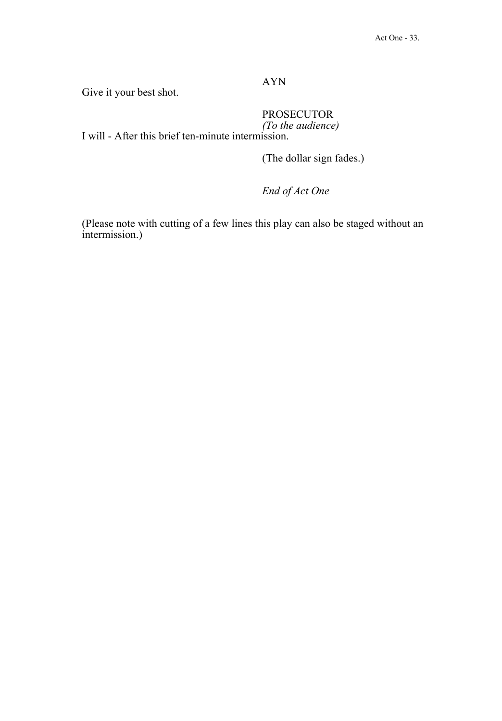Give it your best shot.

AYN

PROSECUTOR<br>(To the audience)

*(To the audience)* I will - After this brief ten-minute intermission.

(The dollar sign fades.)

*End of Act One*

(Please note with cutting of a few lines this play can also be staged without an intermission.)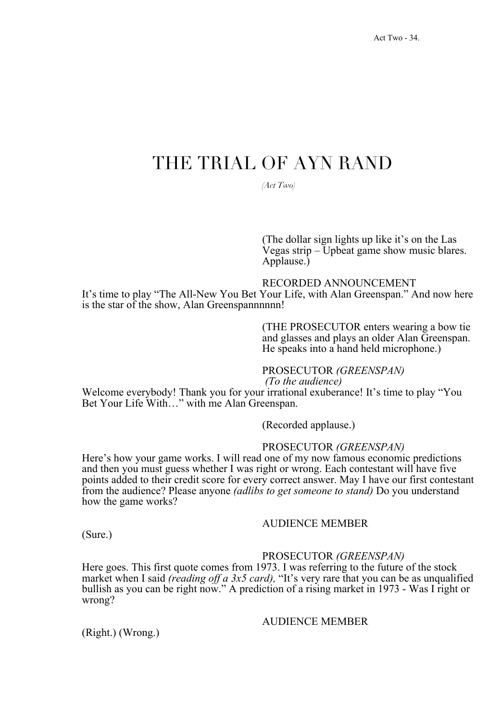# THE TRIAL OF AYN RAND

*(Act Two)*

(The dollar sign lights up like it's on the Las Vegas strip – Upbeat game show music blares. Applause.)

# RECORDED ANNOUNCEMENT

It's time to play "The All-New You Bet Your Life, with Alan Greenspan." And now here is the star of the show, Alan Greenspannnnnn!

> (THE PROSECUTOR enters wearing a bow tie and glasses and plays an older Alan Greenspan. He speaks into a hand held microphone.)

# PROSECUTOR *(GREENSPAN)*

*(To the audience)* 

Welcome everybody! Thank you for your irrational exuberance! It's time to play "You Bet Your Life With..." with me Alan Greenspan.

(Recorded applause.)

# PROSECUTOR *(GREENSPAN)*

Here's how your game works. I will read one of my now famous economic predictions and then you must guess whether I was right or wrong. Each contestant will have five points added to their credit score for every correct answer. May I have our first contestant from the audience? Please anyone *(adlibs to get someone to stand)* Do you understand how the game works?

# AUDIENCE MEMBER

(Sure.)

#### PROSECUTOR *(GREENSPAN)*

Here goes. This first quote comes from 1973. I was referring to the future of the stock market when I said *(reading off a 3x5 card),* "It's very rare that you can be as unqualified bullish as you can be right now." A prediction of a rising market in 1973 - Was I right or wrong?

# AUDIENCE MEMBER

(Right.) (Wrong.)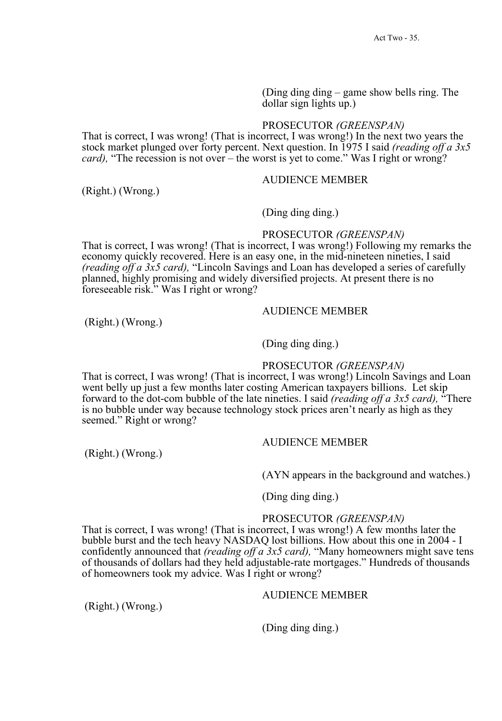(Ding ding ding – game show bells ring. The dollar sign lights up.)

# PROSECUTOR *(GREENSPAN)*

That is correct, I was wrong! (That is incorrect, I was wrong!) In the next two years the stock market plunged over forty percent. Next question. In 1975 I said *(reading off a 3x5 card),* "The recession is not over – the worst is yet to come." Was I right or wrong?

# AUDIENCE MEMBER

(Right.) (Wrong.)

# (Ding ding ding.)

# PROSECUTOR *(GREENSPAN)*

That is correct, I was wrong! (That is incorrect, I was wrong!) Following my remarks the economy quickly recovered. Here is an easy one, in the mid-nineteen nineties, I said *(reading off a 3x5 card),* "Lincoln Savings and Loan has developed a series of carefully planned, highly promising and widely diversified projects. At present there is no foreseeable risk." Was I right or wrong?

# AUDIENCE MEMBER

(Right.) (Wrong.)

# (Ding ding ding.)

# PROSECUTOR *(GREENSPAN)*

That is correct, I was wrong! (That is incorrect, I was wrong!) Lincoln Savings and Loan went belly up just a few months later costing American taxpayers billions. Let skip forward to the dot-com bubble of the late nineties. I said *(reading off a 3x5 card),* "There is no bubble under way because technology stock prices aren't nearly as high as they seemed." Right or wrong?

(Right.) (Wrong.)

# AUDIENCE MEMBER

(AYN appears in the background and watches.)

(Ding ding ding.)

### PROSECUTOR *(GREENSPAN)*

That is correct, I was wrong! (That is incorrect, I was wrong!) A few months later the bubble burst and the tech heavy NASDAQ lost billions. How about this one in 2004 - I confidently announced that *(reading off a 3x5 card),* "Many homeowners might save tens of thousands of dollars had they held adjustable-rate mortgages." Hundreds of thousands of homeowners took my advice. Was I right or wrong?

# AUDIENCE MEMBER

(Right.) (Wrong.)

(Ding ding ding.)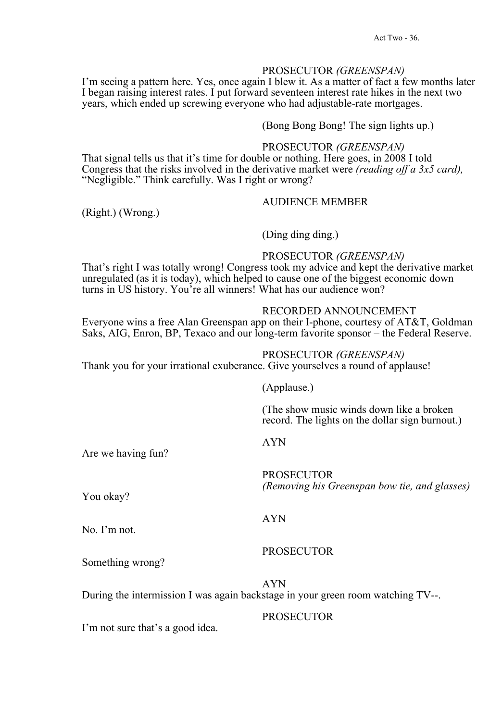# PROSECUTOR *(GREENSPAN)*

I'm seeing a pattern here. Yes, once again I blew it. As a matter of fact a few months later I began raising interest rates. I put forward seventeen interest rate hikes in the next two years, which ended up screwing everyone who had adjustable-rate mortgages.

# (Bong Bong Bong! The sign lights up.)

# PROSECUTOR *(GREENSPAN)*

That signal tells us that it's time for double or nothing. Here goes, in 2008 I told Congress that the risks involved in the derivative market were *(reading off a 3x5 card),* "Negligible." Think carefully. Was I right or wrong?

AUDIENCE MEMBER

(Right.) (Wrong.)

# (Ding ding ding.)

# PROSECUTOR *(GREENSPAN)*

That's right I was totally wrong! Congress took my advice and kept the derivative market unregulated (as it is today), which helped to cause one of the biggest economic down turns in US history. You're all winners! What has our audience won?

# RECORDED ANNOUNCEMENT

Everyone wins a free Alan Greenspan app on their I-phone, courtesy of AT&T, Goldman Saks, AIG, Enron, BP, Texaco and our long-term favorite sponsor – the Federal Reserve.

# PROSECUTOR *(GREENSPAN)*

Thank you for your irrational exuberance. Give yourselves a round of applause!

(Applause.)

(The show music winds down like a broken record. The lights on the dollar sign burnout.)

AYN

Are we having fun?

PROSECUTOR *(Removing his Greenspan bow tie, and glasses)* 

You okay?

AYN

No. I'm not.

# PROSECUTOR

Something wrong?

AYN

During the intermission I was again backstage in your green room watching TV--.

PROSECUTOR

I'm not sure that's a good idea.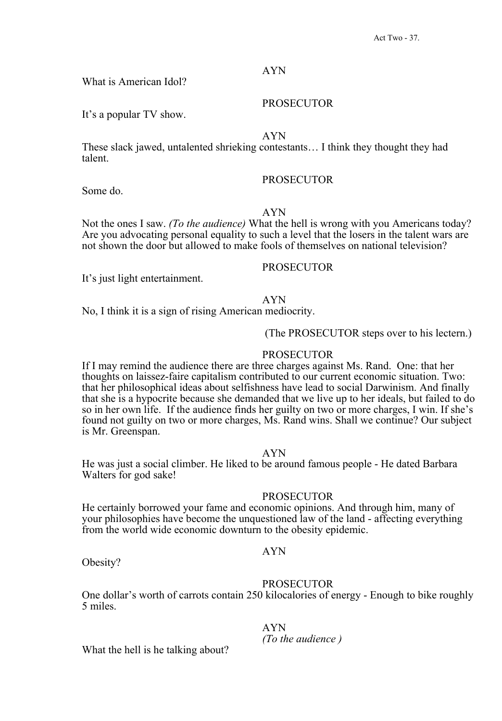# What is American Idol?

It's a popular TV show.

PROSECUTOR

AYN

These slack jawed, untalented shrieking contestants… I think they thought they had talent.

# PROSECUTOR

Some do.

#### AYN

Not the ones I saw. *(To the audience)* What the hell is wrong with you Americans today? Are you advocating personal equality to such a level that the losers in the talent wars are not shown the door but allowed to make fools of themselves on national television?

# **PROSECUTOR**

It's just light entertainment.

#### AYN

No, I think it is a sign of rising American mediocrity.

(The PROSECUTOR steps over to his lectern.)

# PROSECUTOR

If I may remind the audience there are three charges against Ms. Rand. One: that her thoughts on laissez-faire capitalism contributed to our current economic situation. Two: that her philosophical ideas about selfishness have lead to social Darwinism. And finally that she is a hypocrite because she demanded that we live up to her ideals, but failed to do so in her own life. If the audience finds her guilty on two or more charges, I win. If she's found not guilty on two or more charges, Ms. Rand wins. Shall we continue? Our subject is Mr. Greenspan.

AYN

He was just a social climber. He liked to be around famous people - He dated Barbara Walters for god sake!

#### PROSECUTOR

He certainly borrowed your fame and economic opinions. And through him, many of your philosophies have become the unquestioned law of the land - affecting everything from the world wide economic downturn to the obesity epidemic.

#### AYN

Obesity?

#### PROSECUTOR

One dollar's worth of carrots contain 250 kilocalories of energy - Enough to bike roughly 5 miles.

> AYN *(To the audience )*

What the hell is he talking about?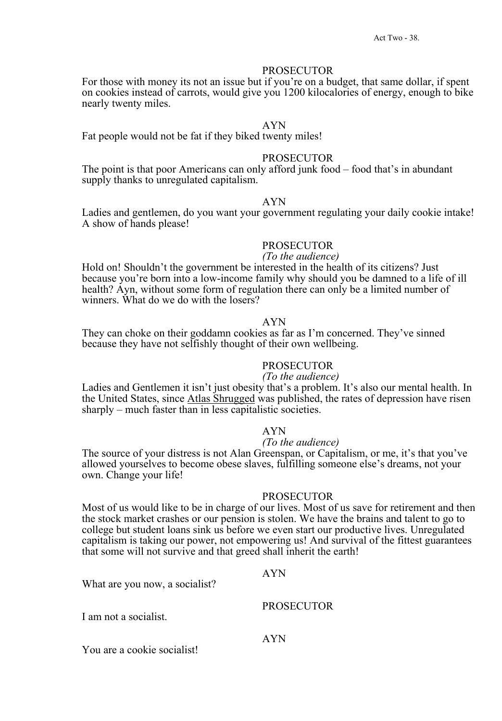For those with money its not an issue but if you're on a budget, that same dollar, if spent on cookies instead of carrots, would give you 1200 kilocalories of energy, enough to bike nearly twenty miles.

# AYN

Fat people would not be fat if they biked twenty miles!

#### **PROSECUTOR**

The point is that poor Americans can only afford junk food – food that's in abundant supply thanks to unregulated capitalism.

#### AYN

Ladies and gentlemen, do you want your government regulating your daily cookie intake! A show of hands please!

# PROSECUTOR

*(To the audience)* Hold on! Shouldn't the government be interested in the health of its citizens? Just because you're born into a low-income family why should you be damned to a life of ill health? Ayn, without some form of regulation there can only be a limited number of winners. What do we do with the losers?

#### AYN

They can choke on their goddamn cookies as far as I'm concerned. They've sinned because they have not selfishly thought of their own wellbeing.

### PROSECUTOR

#### *(To the audience)*

Ladies and Gentlemen it isn't just obesity that's a problem. It's also our mental health. In the United States, since Atlas Shrugged was published, the rates of depression have risen sharply – much faster than in less capitalistic societies.

# AYN

# *(To the audience)*

The source of your distress is not Alan Greenspan, or Capitalism, or me, it's that you've allowed yourselves to become obese slaves, fulfilling someone else's dreams, not your own. Change your life!

#### PROSECUTOR

Most of us would like to be in charge of our lives. Most of us save for retirement and then the stock market crashes or our pension is stolen. We have the brains and talent to go to college but student loans sink us before we even start our productive lives. Unregulated capitalism is taking our power, not empowering us! And survival of the fittest guarantees that some will not survive and that greed shall inherit the earth!

| What are you now, a socialist? | <b>AYN</b>        |
|--------------------------------|-------------------|
|                                | <b>PROSECUTOR</b> |

I am not a socialist.

# AYN

You are a cookie socialist!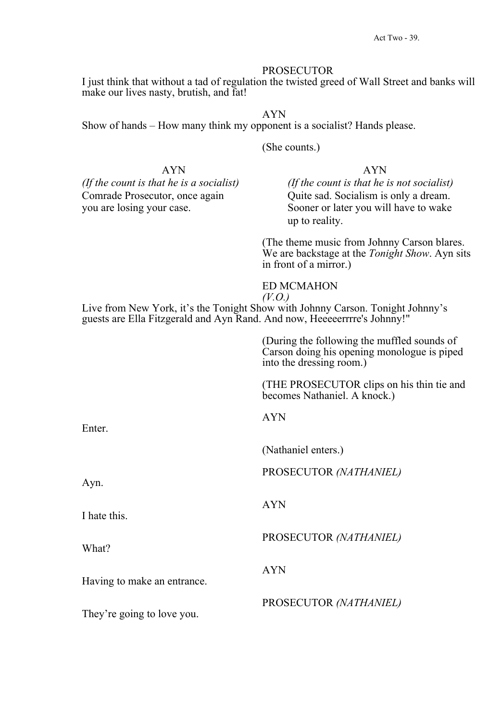I just think that without a tad of regulation the twisted greed of Wall Street and banks will make our lives nasty, brutish, and fat!

AYN Show of hands – How many think my opponent is a socialist? Hands please.

(She counts.)

AYN *(If the count is that he is a socialist)*  Comrade Prosecutor, once again you are losing your case.

AYN

*(If the count is that he is not socialist)*  Quite sad. Socialism is only a dream. Sooner or later you will have to wake up to reality.

(The theme music from Johnny Carson blares. We are backstage at the *Tonight Show*. Ayn sits in front of a mirror.)

ED MCMAHON *(V.O.)* 

Live from New York, it's the Tonight Show with Johnny Carson. Tonight Johnny's guests are Ella Fitzgerald and Ayn Rand. And now, Heeeeerrrre's Johnny!"

> (During the following the muffled sounds of Carson doing his opening monologue is piped into the dressing room.)

> (THE PROSECUTOR clips on his thin tie and becomes Nathaniel. A knock.)

| Enter.                      | <b>AYN</b>             |
|-----------------------------|------------------------|
|                             | (Nathaniel enters.)    |
| Ayn.                        | PROSECUTOR (NATHANIEL) |
| I hate this.                | <b>AYN</b>             |
| What?                       | PROSECUTOR (NATHANIEL) |
| Having to make an entrance. | <b>AYN</b>             |
| They're going to love you.  | PROSECUTOR (NATHANIEL) |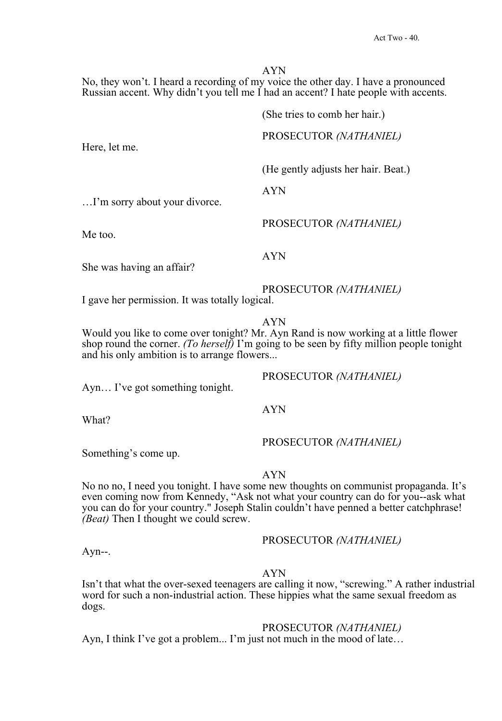No, they won't. I heard a recording of my voice the other day. I have a pronounced Russian accent. Why didn't you tell me I had an accent? I hate people with accents.

(She tries to comb her hair.)

PROSECUTOR *(NATHANIEL)*

(He gently adjusts her hair. Beat.)

AYN

AYN

…I'm sorry about your divorce.

Me too.

Here, let me.

She was having an affair?

PROSECUTOR *(NATHANIEL)*

PROSECUTOR *(NATHANIEL)*

I gave her permission. It was totally logical.

AYN

Would you like to come over tonight? Mr. Ayn Rand is now working at a little flower shop round the corner. *(To herself)* I'm going to be seen by fifty million people tonight and his only ambition is to arrange flowers...

PROSECUTOR *(NATHANIEL)*

Ayn… I've got something tonight.

AYN

What?

PROSECUTOR *(NATHANIEL)*

Something's come up.

AYN

No no no, I need you tonight. I have some new thoughts on communist propaganda. It's even coming now from Kennedy, "Ask not what your country can do for you--ask what you can do for your country." Joseph Stalin couldn't have penned a better catchphrase! *(Beat)* Then I thought we could screw.

PROSECUTOR *(NATHANIEL)*

Ayn--.

AYN

Isn't that what the over-sexed teenagers are calling it now, "screwing." A rather industrial word for such a non-industrial action. These hippies what the same sexual freedom as dogs.

PROSECUTOR *(NATHANIEL)*

Ayn, I think I've got a problem... I'm just not much in the mood of late…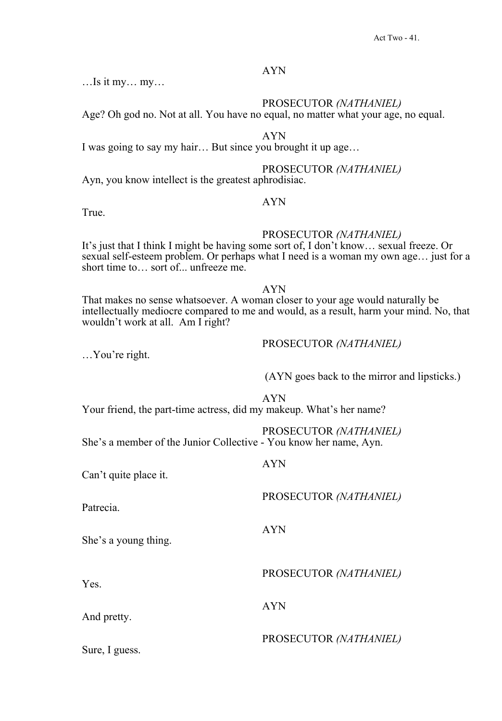…Is it my… my…

# PROSECUTOR *(NATHANIEL)*

Age? Oh god no. Not at all. You have no equal, no matter what your age, no equal.

AYN

I was going to say my hair… But since you brought it up age…

# PROSECUTOR *(NATHANIEL)*

Ayn, you know intellect is the greatest aphrodisiac.

# AYN

True.

# PROSECUTOR *(NATHANIEL)*

It's just that I think I might be having some sort of, I don't know… sexual freeze. Or sexual self-esteem problem. Or perhaps what I need is a woman my own age… just for a short time to… sort of... unfreeze me.

AYN

That makes no sense whatsoever. A woman closer to your age would naturally be intellectually mediocre compared to me and would, as a result, harm your mind. No, that wouldn't work at all. Am I right?

PROSECUTOR *(NATHANIEL)*

#### (AYN goes back to the mirror and lipsticks.)

AYN Your friend, the part-time actress, did my makeup. What's her name?

PROSECUTOR *(NATHANIEL)*

She's a member of the Junior Collective - You know her name, Ayn.

Can't quite place it.

…You're right.

Patrecia.

She's a young thing.

Yes.

And pretty.

Sure, I guess.

PROSECUTOR *(NATHANIEL)*

AYN

AYN

PROSECUTOR *(NATHANIEL)*

AYN

PROSECUTOR *(NATHANIEL)*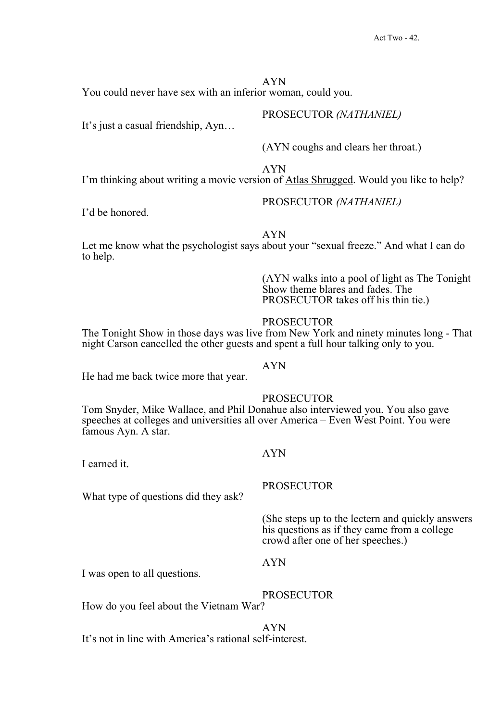AYN You could never have sex with an inferior woman, could you.

It's just a casual friendship, Ayn…

# PROSECUTOR *(NATHANIEL)*

(AYN coughs and clears her throat.)

AYN

I'm thinking about writing a movie version of Atlas Shrugged. Would you like to help?

I'd be honored.

# PROSECUTOR *(NATHANIEL)*

AYN

Let me know what the psychologist says about your "sexual freeze." And what I can do to help.

> (AYN walks into a pool of light as The Tonight Show theme blares and fades. The PROSECUTOR takes off his thin tie.)

# PROSECUTOR

The Tonight Show in those days was live from New York and ninety minutes long - That night Carson cancelled the other guests and spent a full hour talking only to you.

AYN

He had me back twice more that year.

# PROSECUTOR

Tom Snyder, Mike Wallace, and Phil Donahue also interviewed you. You also gave speeches at colleges and universities all over America – Even West Point. You were famous Ayn. A star.

# AYN

I earned it.

What type of questions did they ask?

# PROSECUTOR

(She steps up to the lectern and quickly answers his questions as if they came from a college crowd after one of her speeches.)

# AYN

I was open to all questions.

PROSECUTOR

How do you feel about the Vietnam War?

AYN It's not in line with America's rational self-interest.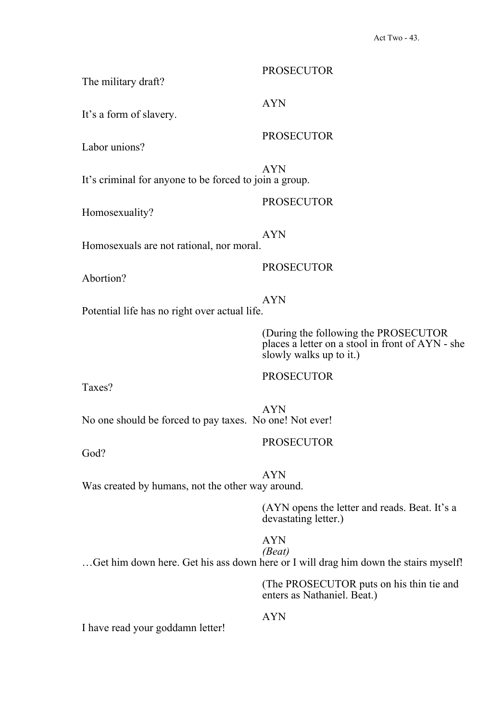| The military draft?                                     | <b>PROSECUTOR</b>                                                                                                   |
|---------------------------------------------------------|---------------------------------------------------------------------------------------------------------------------|
|                                                         |                                                                                                                     |
| It's a form of slavery.                                 | <b>AYN</b>                                                                                                          |
|                                                         | <b>PROSECUTOR</b>                                                                                                   |
| Labor unions?                                           |                                                                                                                     |
|                                                         | <b>AYN</b>                                                                                                          |
| It's criminal for anyone to be forced to join a group.  |                                                                                                                     |
|                                                         | <b>PROSECUTOR</b>                                                                                                   |
| Homosexuality?                                          |                                                                                                                     |
| Homosexuals are not rational, nor moral.                | <b>AYN</b>                                                                                                          |
|                                                         |                                                                                                                     |
| Abortion?                                               | <b>PROSECUTOR</b>                                                                                                   |
|                                                         | <b>AYN</b>                                                                                                          |
| Potential life has no right over actual life.           |                                                                                                                     |
|                                                         | (During the following the PROSECUTOR<br>places a letter on a stool in front of AYN - she<br>slowly walks up to it.) |
|                                                         | <b>PROSECUTOR</b>                                                                                                   |
| Taxes?                                                  |                                                                                                                     |
| No one should be forced to pay taxes. No one! Not ever! | <b>AYN</b>                                                                                                          |
|                                                         | <b>PROSECUTOR</b>                                                                                                   |
| God?                                                    |                                                                                                                     |
|                                                         | <b>AYN</b>                                                                                                          |
| Was created by humans, not the other way around.        |                                                                                                                     |

(AYN opens the letter and reads. Beat. It's a devastating letter.)

# AYN<br>(Beat)

...Get him down here. Get his ass down here or I will drag him down the stairs myself!

(The PROSECUTOR puts on his thin tie and enters as Nathaniel. Beat.)

AYN

I have read your goddamn letter!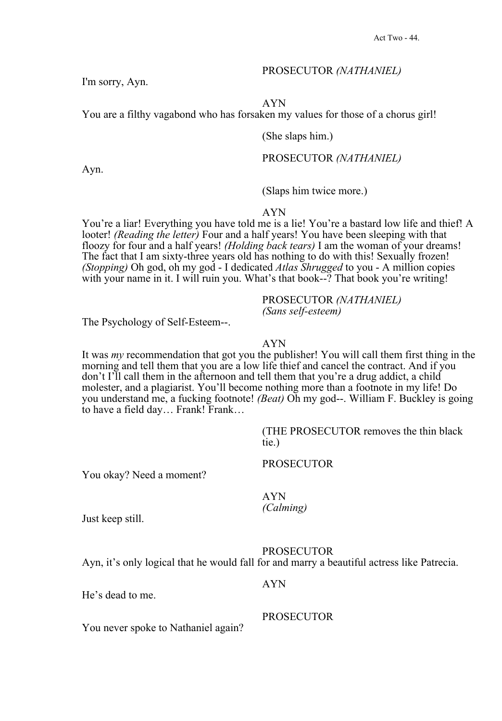## PROSECUTOR *(NATHANIEL)*

I'm sorry, Ayn.

#### AYN

You are a filthy vagabond who has forsaken my values for those of a chorus girl!

#### (She slaps him.)

#### PROSECUTOR *(NATHANIEL)*

Ayn.

(Slaps him twice more.)

AYN

You're a liar! Everything you have told me is a lie! You're a bastard low life and thief! A looter! *(Reading the letter)* Four and a half years! You have been sleeping with that floozy for four and a half years! *(Holding back tears)* I am the woman of your dreams! The fact that I am sixty-three years old has nothing to do with this! Sexually frozen! *(Stopping)* Oh god, oh my god - I dedicated *Atlas Shrugged* to you - A million copies with your name in it. I will ruin you. What's that book--? That book you're writing!

PROSECUTOR *(NATHANIEL)*

*(Sans self-esteem)* The Psychology of Self-Esteem--.

#### AYN

It was *my* recommendation that got you the publisher! You will call them first thing in the morning and tell them that you are a low life thief and cancel the contract. And if you don't I'll call them in the afternoon and tell them that you're a drug addict, a child molester, and a plagiarist. You'll become nothing more than a footnote in my life! Do you understand me, a fucking footnote! *(Beat)* Oh my god--. William F. Buckley is going to have a field day... Frank! Frank...

> (THE PROSECUTOR removes the thin black tie.)

You okay? Need a moment?

PROSECUTOR

AYN *(Calming)* 

Just keep still.

PROSECUTOR

Ayn, it's only logical that he would fall for and marry a beautiful actress like Patrecia.

He's dead to me.

AYN

You never spoke to Nathaniel again?

PROSECUTOR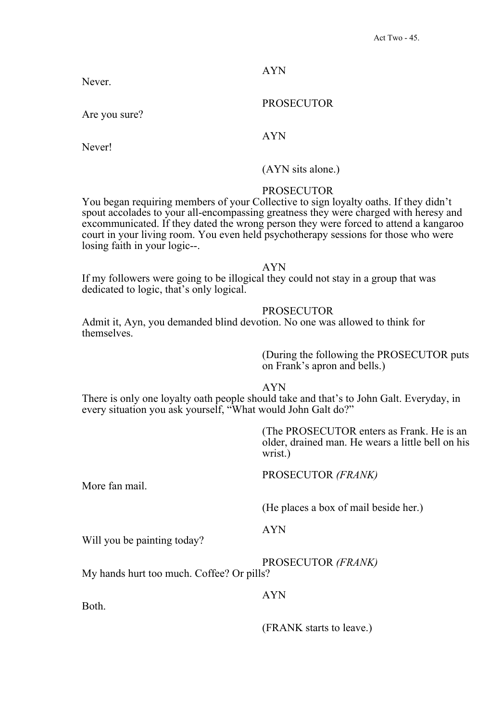PROSECUTOR

Are you sure?

AYN

Never!

Never.

# (AYN sits alone.)

# PROSECUTOR

You began requiring members of your Collective to sign loyalty oaths. If they didn't spout accolades to your all-encompassing greatness they were charged with heresy and excommunicated. If they dated the wrong person they were forced to attend a kangaroo court in your living room. You even held psychotherapy sessions for those who were losing faith in your logic--.

#### AYN

If my followers were going to be illogical they could not stay in a group that was dedicated to logic, that's only logical.

# PROSECUTOR

Admit it, Ayn, you demanded blind devotion. No one was allowed to think for themselves.

> (During the following the PROSECUTOR puts on Frank's apron and bells.)

#### AYN

There is only one loyalty oath people should take and that's to John Galt. Everyday, in every situation you ask yourself, "What would John Galt do?"

> (The PROSECUTOR enters as Frank. He is an older, drained man. He wears a little bell on his wrist.)

More fan mail.

# PROSECUTOR *(FRANK)*

(He places a box of mail beside her.)

AYN

Will you be painting today?

PROSECUTOR *(FRANK)*

My hands hurt too much. Coffee? Or pills?

AYN

Both.

(FRANK starts to leave.)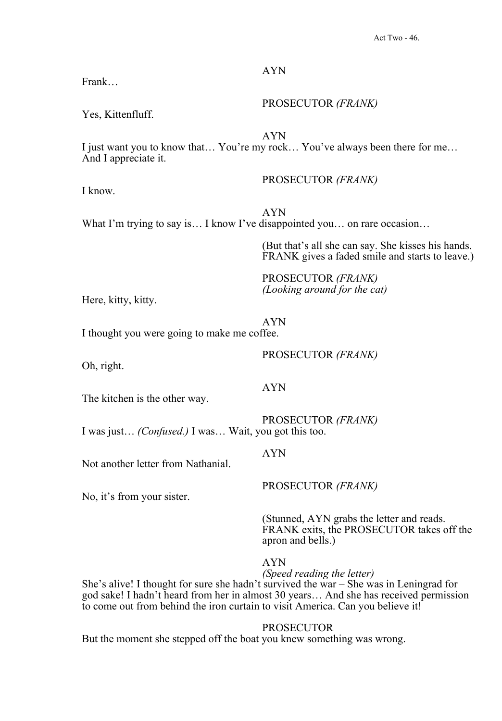#### PROSECUTOR *(FRANK)*

Yes, Kittenfluff.

AYN

I just want you to know that… You're my rock… You've always been there for me… And I appreciate it.

I know.

# PROSECUTOR *(FRANK)*

AYN What I'm trying to say is... I know I've disappointed you... on rare occasion...

> (But that's all she can say. She kisses his hands. FRANK gives a faded smile and starts to leave.)

PROSECUTOR *(FRANK) (Looking around for the cat)* Here, kitty, kitty.

AYN

I thought you were going to make me coffee.

Oh, right.

PROSECUTOR *(FRANK)*

The kitchen is the other way.

PROSECUTOR *(FRANK)* I was just… *(Confused.)* I was… Wait, you got this too.

Not another letter from Nathanial.

No, it's from your sister.

AYN

AYN

PROSECUTOR *(FRANK)*

(Stunned, AYN grabs the letter and reads. FRANK exits, the PROSECUTOR takes off the apron and bells.)

# AYN

*(Speed reading the letter)* She's alive! I thought for sure she hadn't survived the war – She was in Leningrad for god sake! I hadn't heard from her in almost 30 years… And she has received permission to come out from behind the iron curtain to visit America. Can you believe it!

#### PROSECUTOR

But the moment she stepped off the boat you knew something was wrong.

# Frank…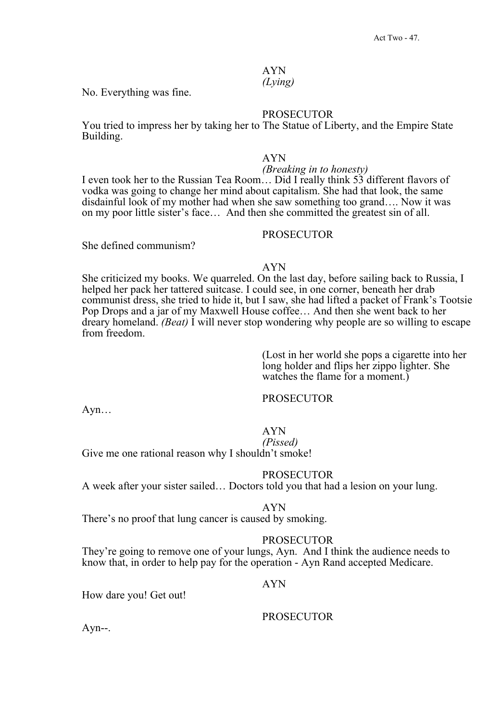### AYN *(Lying)*

No. Everything was fine.

She defined communism?

# PROSECUTOR

You tried to impress her by taking her to The Statue of Liberty, and the Empire State Building.

# AYN

*(Breaking in to honesty)* I even took her to the Russian Tea Room… Did I really think 53 different flavors of vodka was going to change her mind about capitalism. She had that look, the same disdainful look of my mother had when she saw something too grand…. Now it was on my poor little sister's face… And then she committed the greatest sin of all.

# PROSECUTOR

# AYN

She criticized my books. We quarreled. On the last day, before sailing back to Russia, I helped her pack her tattered suitcase. I could see, in one corner, beneath her drab communist dress, she tried to hide it, but I saw, she had lifted a packet of Frank's Tootsie Pop Drops and a jar of my Maxwell House coffee… And then she went back to her dreary homeland. *(Beat)* I will never stop wondering why people are so willing to escape from freedom.

> (Lost in her world she pops a cigarette into her long holder and flips her zippo lighter. She watches the flame for a moment.)

### PROSECUTOR

Ayn…

# AYN

*(Pissed)* 

Give me one rational reason why I shouldn't smoke!

# PROSECUTOR

A week after your sister sailed… Doctors told you that had a lesion on your lung.

### AYN

There's no proof that lung cancer is caused by smoking.

# PROSECUTOR

They're going to remove one of your lungs, Ayn. And I think the audience needs to know that, in order to help pay for the operation - Ayn Rand accepted Medicare.

# AYN

How dare you! Get out!

### PROSECUTOR

Ayn--.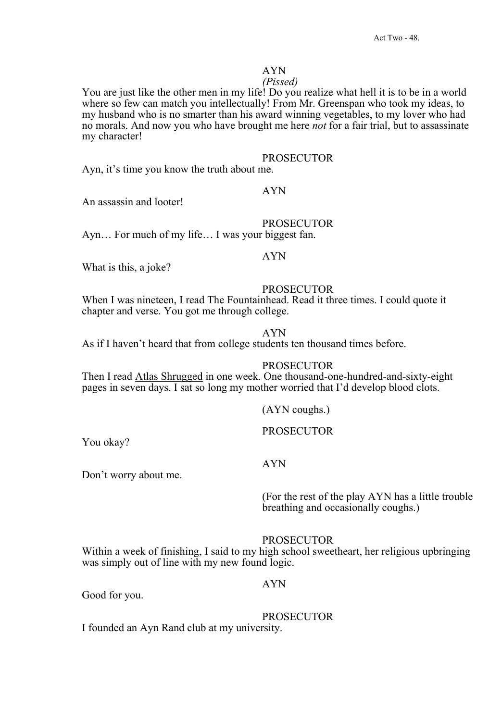# *(Pissed)*

You are just like the other men in my life! Do you realize what hell it is to be in a world where so few can match you intellectually! From Mr. Greenspan who took my ideas, to my husband who is no smarter than his award winning vegetables, to my lover who had no morals. And now you who have brought me here *not* for a fair trial, but to assassinate my character!

#### PROSECUTOR

Ayn, it's time you know the truth about me.

# AYN

An assassin and looter!

#### PROSECUTOR

Ayn… For much of my life… I was your biggest fan.

# AYN

What is this, a joke?

# PROSECUTOR

When I was nineteen, I read The Fountainhead. Read it three times. I could quote it chapter and verse. You got me through college.

#### AYN

As if I haven't heard that from college students ten thousand times before.

#### PROSECUTOR

Then I read Atlas Shrugged in one week. One thousand-one-hundred-and-sixty-eight pages in seven days. I sat so long my mother worried that I'd develop blood clots.

(AYN coughs.)

# PROSECUTOR

You okay?

Don't worry about me.

AYN

(For the rest of the play AYN has a little trouble breathing and occasionally coughs.)

# PROSECUTOR

Within a week of finishing, I said to my high school sweetheart, her religious upbringing was simply out of line with my new found logic.

# AYN

Good for you.

# PROSECUTOR

I founded an Ayn Rand club at my university.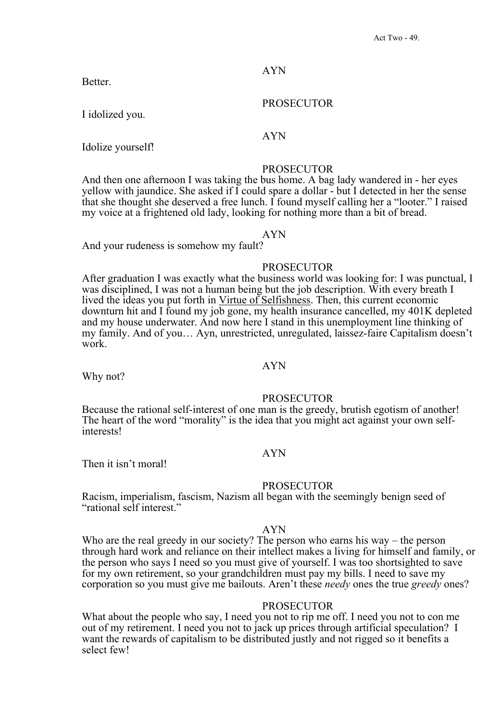Better.

I idolized you.

#### AYN

# Idolize yourself!

#### PROSECUTOR

PROSECUTOR

And then one afternoon I was taking the bus home. A bag lady wandered in - her eyes yellow with jaundice. She asked if I could spare a dollar - but I detected in her the sense that she thought she deserved a free lunch. I found myself calling her a "looter." I raised my voice at a frightened old lady, looking for nothing more than a bit of bread.

# AYN

And your rudeness is somehow my fault?

#### PROSECUTOR

After graduation I was exactly what the business world was looking for: I was punctual, I was disciplined, I was not a human being but the job description. With every breath I lived the ideas you put forth in Virtue of Selfishness. Then, this current economic downturn hit and I found my job gone, my health insurance cancelled, my 401K depleted and my house underwater. And now here I stand in this unemployment line thinking of my family. And of you… Ayn, unrestricted, unregulated, laissez-faire Capitalism doesn't work.

#### AYN

Why not?

#### PROSECUTOR

Because the rational self-interest of one man is the greedy, brutish egotism of another! The heart of the word "morality" is the idea that you might act against your own selfinterests!

AYN

Then it isn't moral!

#### PROSECUTOR

Racism, imperialism, fascism, Nazism all began with the seemingly benign seed of "rational self interest."

#### AYN

Who are the real greedy in our society? The person who earns his way – the person through hard work and reliance on their intellect makes a living for himself and family, or the person who says I need so you must give of yourself. I was too shortsighted to save for my own retirement, so your grandchildren must pay my bills. I need to save my corporation so you must give me bailouts. Aren't these *needy* ones the true *greedy* ones?

#### PROSECUTOR

What about the people who say, I need you not to rip me off. I need you not to con me out of my retirement. I need you not to jack up prices through artificial speculation? I want the rewards of capitalism to be distributed justly and not rigged so it benefits a select few!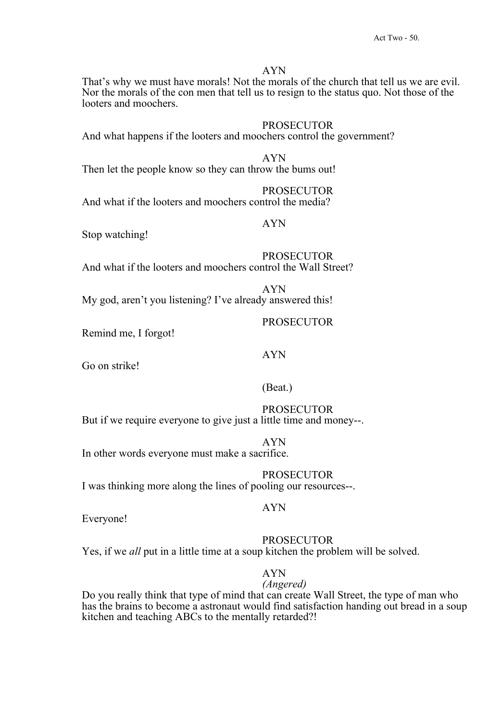That's why we must have morals! Not the morals of the church that tell us we are evil. Nor the morals of the con men that tell us to resign to the status quo. Not those of the looters and moochers.

#### PROSECUTOR

And what happens if the looters and moochers control the government?

AYN Then let the people know so they can throw the bums out!

# PROSECUTOR

And what if the looters and moochers control the media?

# AYN

Stop watching!

PROSECUTOR And what if the looters and moochers control the Wall Street?

AYN

My god, aren't you listening? I've already answered this!

# **PROSECUTOR**

Remind me, I forgot!

# AYN

Go on strike!

### (Beat.)

PROSECUTOR

But if we require everyone to give just a little time and money--.

AYN In other words everyone must make a sacrifice.

PROSECUTOR I was thinking more along the lines of pooling our resources--.

# AYN

Everyone!

# PROSECUTOR

Yes, if we *all* put in a little time at a soup kitchen the problem will be solved.

# AYN

# *(Angered)*

Do you really think that type of mind that can create Wall Street, the type of man who has the brains to become a astronaut would find satisfaction handing out bread in a soup kitchen and teaching ABCs to the mentally retarded?!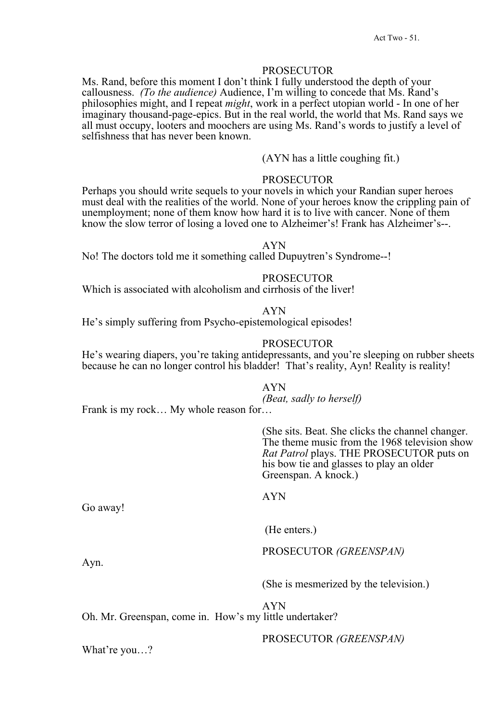Ms. Rand, before this moment I don't think I fully understood the depth of your callousness. *(To the audience)* Audience, I'm willing to concede that Ms. Rand's philosophies might, and I repeat *might*, work in a perfect utopian world - In one of her imaginary thousand-page-epics. But in the real world, the world that Ms. Rand says we all must occupy, looters and moochers are using Ms. Rand's words to justify a level of selfishness that has never been known.

(AYN has a little coughing fit.)

# PROSECUTOR

Perhaps you should write sequels to your novels in which your Randian super heroes must deal with the realities of the world. None of your heroes know the crippling pain of unemployment; none of them know how hard it is to live with cancer. None of them know the slow terror of losing a loved one to Alzheimer's! Frank has Alzheimer's--.

#### AYN

No! The doctors told me it something called Dupuytren's Syndrome--!

#### PROSECUTOR

Which is associated with alcoholism and cirrhosis of the liver!

#### AYN

He's simply suffering from Psycho-epistemological episodes!

#### PROSECUTOR

He's wearing diapers, you're taking antidepressants, and you're sleeping on rubber sheets because he can no longer control his bladder! That's reality, Ayn! Reality is reality!

#### AYN

*(Beat, sadly to herself)*

Frank is my rock… My whole reason for…

(She sits. Beat. She clicks the channel changer. The theme music from the 1968 television show *Rat Patrol* plays. THE PROSECUTOR puts on his bow tie and glasses to play an older Greenspan. A knock.)

AYN

Go away!

(He enters.)

# PROSECUTOR *(GREENSPAN)*

Ayn.

What're you…?

(She is mesmerized by the television.)

AYN Oh. Mr. Greenspan, come in. How's my little undertaker?

PROSECUTOR *(GREENSPAN)*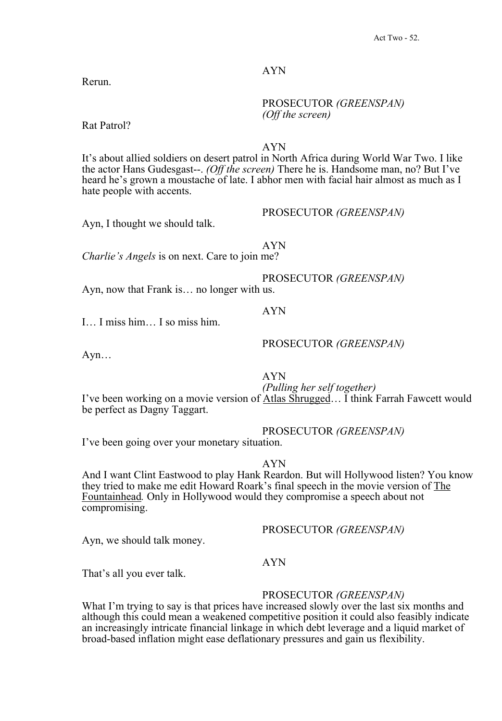PROSECUTOR *(GREENSPAN) (Off the screen)* 

Rat Patrol?

AYN

It's about allied soldiers on desert patrol in North Africa during World War Two. I like the actor Hans Gudesgast--. *(Off the screen)* There he is. Handsome man, no? But I've heard he's grown a moustache of late. I abhor men with facial hair almost as much as I hate people with accents.

Ayn, I thought we should talk.

AYN

*Charlie's Angels* is on next. Care to join me?

PROSECUTOR *(GREENSPAN)*

PROSECUTOR *(GREENSPAN)*

PROSECUTOR *(GREENSPAN)*

Ayn, now that Frank is… no longer with us.

# AYN

I… I miss him… I so miss him.

Ayn…

# AYN

*(Pulling her self together)* 

I've been working on a movie version of Atlas Shrugged... I think Farrah Fawcett would be perfect as Dagny Taggart.

# PROSECUTOR *(GREENSPAN)*

I've been going over your monetary situation.

AYN

And I want Clint Eastwood to play Hank Reardon. But will Hollywood listen? You know they tried to make me edit Howard Roark's final speech in the movie version of The Fountainhead*.* Only in Hollywood would they compromise a speech about not compromising.

PROSECUTOR *(GREENSPAN)*

Ayn, we should talk money.

# AYN

That's all you ever talk.

# PROSECUTOR *(GREENSPAN)*

What I'm trying to say is that prices have increased slowly over the last six months and although this could mean a weakened competitive position it could also feasibly indicate an increasingly intricate financial linkage in which debt leverage and a liquid market of broad-based inflation might ease deflationary pressures and gain us flexibility.

Rerun.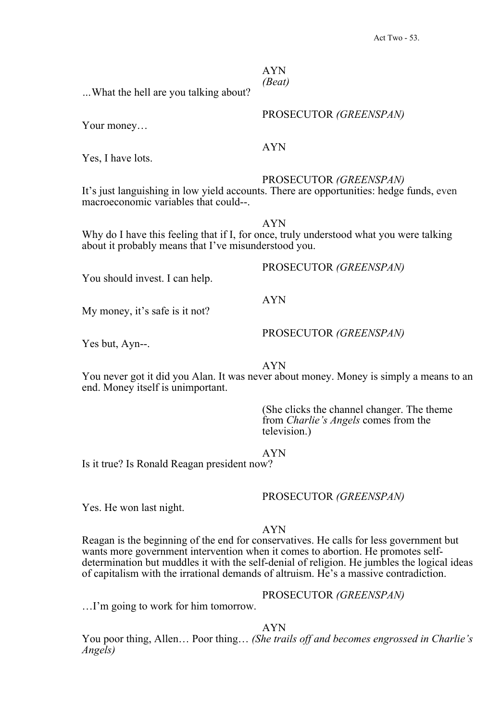# AYN *(Beat)*

*…*What the hell are you talking about?

Your money…

# PROSECUTOR *(GREENSPAN)*

#### AYN

Yes, I have lots.

# PROSECUTOR *(GREENSPAN)*

It's just languishing in low yield accounts. There are opportunities: hedge funds, even macroeconomic variables that could--.

AYN

Why do I have this feeling that if I, for once, truly understood what you were talking about it probably means that I've misunderstood you.

You should invest. I can help.

My money, it's safe is it not?

Yes but, Ayn--.

AYN

You never got it did you Alan. It was never about money. Money is simply a means to an end. Money itself is unimportant.

> (She clicks the channel changer. The theme from *Charlie's Angels* comes from the television.)

AYN

Is it true? Is Ronald Reagan president now?

# PROSECUTOR *(GREENSPAN)*

Yes. He won last night.

AYN

Reagan is the beginning of the end for conservatives. He calls for less government but wants more government intervention when it comes to abortion. He promotes self- determination but muddles it with the self-denial of religion. He jumbles the logical ideas of capitalism with the irrational demands of altruism. He's a massive contradiction.

# PROSECUTOR *(GREENSPAN)*

…I'm going to work for him tomorrow.

AYN

You poor thing, Allen… Poor thing… *(She trails off and becomes engrossed in Charlie's Angels)* 

# AYN

PROSECUTOR *(GREENSPAN)*

PROSECUTOR *(GREENSPAN)*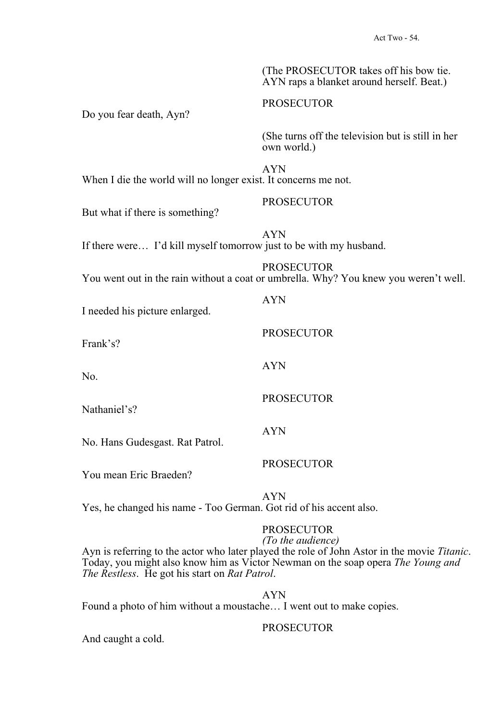(The PROSECUTOR takes off his bow tie. AYN raps a blanket around herself. Beat.)

Do you fear death, Ayn?

# PROSECUTOR

(She turns off the television but is still in her own world.)

AYN When I die the world will no longer exist. It concerns me not.

# **PROSECUTOR**

But what if there is something?

AYN If there were… I'd kill myself tomorrow just to be with my husband.

PROSECUTOR You went out in the rain without a coat or umbrella. Why? You knew you weren't well.

I needed his picture enlarged.

Frank's?

No.

Nathaniel's?

AYN

PROSECUTOR

AYN

AYN

PROSECUTOR

No. Hans Gudesgast. Rat Patrol.

You mean Eric Braeden?

PROSECUTOR

AYN

Yes, he changed his name - Too German. Got rid of his accent also.

# PROSECUTOR

*(To the audience)*<br>Ayn is referring to the actor who later played the role of John Astor in the movie *Titanic*. Ayn is referring to the actor who later played the role of John Astor in the movie *Titanic*. Today, you might also know him as Victor Newman on the soap opera *The Young and The Restless*.He got his start on *Rat Patrol*.

AYN

Found a photo of him without a moustache… I went out to make copies.

# **PROSECUTOR**

And caught a cold.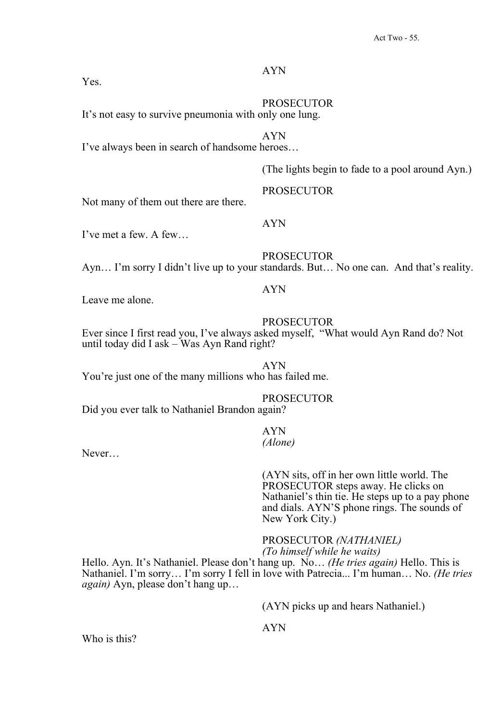Yes.

**PROSECUTOR** 

It's not easy to survive pneumonia with only one lung.

AYN

I've always been in search of handsome heroes…

(The lights begin to fade to a pool around Ayn.)

PROSECUTOR

Not many of them out there are there.

I've met a few. A few…

PROSECUTOR

Ayn… I'm sorry I didn't live up to your standards. But… No one can. And that's reality.

AYN

AYN

Leave me alone.

**PROSECUTOR** 

Ever since I first read you, I've always asked myself, "What would Ayn Rand do? Not until today did I ask – Was Ayn Rand right?

AYN You're just one of the many millions who has failed me.

PROSECUTOR

Did you ever talk to Nathaniel Brandon again?

AYN *(Alone)* 

Never…

(AYN sits, off in her own little world. The PROSECUTOR steps away. He clicks on Nathaniel's thin tie. He steps up to a pay phone and dials. AYN'S phone rings. The sounds of New York City.)

PROSECUTOR *(NATHANIEL)*

*(To himself while he waits)* 

Hello. Ayn. It's Nathaniel. Please don't hang up. No… *(He tries again)* Hello. This is Nathaniel. I'm sorry… I'm sorry I fell in love with Patrecia... I'm human… No. *(He tries again)* Ayn, please don't hang up…

(AYN picks up and hears Nathaniel.)

AYN

Who is this?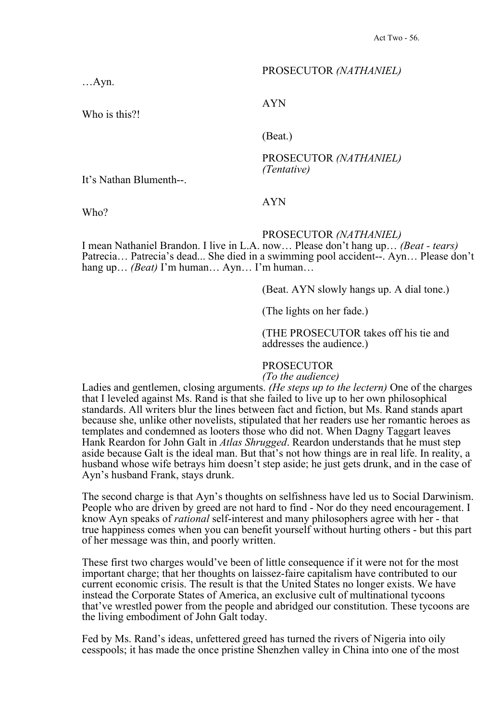…Ayn.

Who is this?!

PROSECUTOR *(NATHANIEL)*

AYN

(Beat.)

PROSECUTOR *(NATHANIEL)*

*(Tentative)* It's Nathan Blumenth--.

Who?

# AYN

# PROSECUTOR *(NATHANIEL)*

I mean Nathaniel Brandon. I live in L.A. now… Please don't hang up… *(Beat - tears)*  Patrecia… Patrecia's dead... She died in a swimming pool accident--. Ayn… Please don't hang up… *(Beat)* I'm human… Ayn… I'm human…

(Beat. AYN slowly hangs up. A dial tone.)

(The lights on her fade.)

(THE PROSECUTOR takes off his tie and addresses the audience.)

# PROSECUTOR

### *(To the audience)*

Ladies and gentlemen, closing arguments. *(He steps up to the lectern)* One of the charges that I leveled against Ms. Rand is that she failed to live up to her own philosophical standards. All writers blur the lines between fact and fiction, but Ms. Rand stands apart because she, unlike other novelists, stipulated that her readers use her romantic heroes as templates and condemned as looters those who did not. When Dagny Taggart leaves Hank Reardon for John Galt in *Atlas Shrugged*. Reardon understands that he must step aside because Galt is the ideal man. But that's not how things are in real life. In reality, a husband whose wife betrays him doesn't step aside; he just gets drunk, and in the case of Ayn's husband Frank, stays drunk.

The second charge is that Ayn's thoughts on selfishness have led us to Social Darwinism. People who are driven by greed are not hard to find - Nor do they need encouragement. I know Ayn speaks of *rational* self-interest and many philosophers agree with her - that true happiness comes when you can benefit yourself without hurting others - but this part of her message was thin, and poorly written.

These first two charges would've been of little consequence if it were not for the most important charge; that her thoughts on laissez-faire capitalism have contributed to our current economic crisis. The result is that the United States no longer exists. We have instead the Corporate States of America, an exclusive cult of multinational tycoons that've wrestled power from the people and abridged our constitution. These tycoons are the living embodiment of John Galt today.

Fed by Ms. Rand's ideas, unfettered greed has turned the rivers of Nigeria into oily cesspools; it has made the once pristine Shenzhen valley in China into one of the most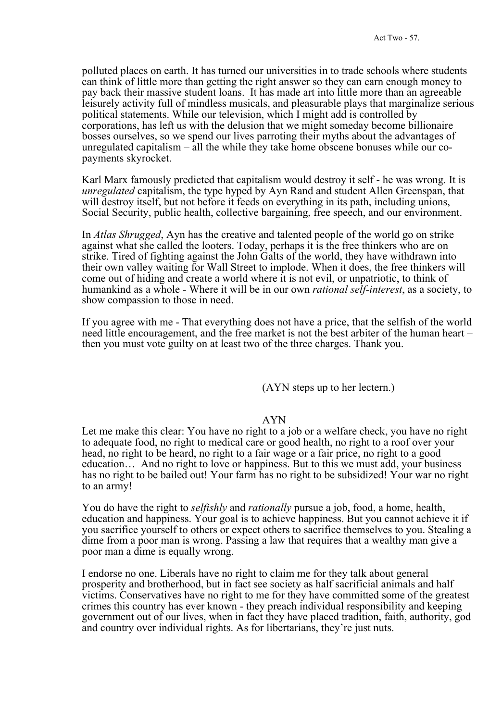polluted places on earth. It has turned our universities in to trade schools where students can think of little more than getting the right answer so they can earn enough money to pay back their massive student loans. It has made art into little more than an agreeable leisurely activity full of mindless musicals, and pleasurable plays that marginalize serious political statements. While our television, which I might add is controlled by corporations, has left us with the delusion that we might someday become billionaire bosses ourselves, so we spend our lives parroting their myths about the advantages of unregulated capitalism – all the while they take home obscene bonuses while our co- payments skyrocket.

Karl Marx famously predicted that capitalism would destroy it self - he was wrong. It is *unregulated* capitalism, the type hyped by Ayn Rand and student Allen Greenspan, that will destroy itself, but not before it feeds on everything in its path, including unions, Social Security, public health, collective bargaining, free speech, and our environment.

In *Atlas Shrugged*, Ayn has the creative and talented people of the world go on strike against what she called the looters. Today, perhaps it is the free thinkers who are on strike. Tired of fighting against the John Galts of the world, they have withdrawn into their own valley waiting for Wall Street to implode. When it does, the free thinkers will come out of hiding and create a world where it is not evil, or unpatriotic, to think of humankind as a whole - Where it will be in our own *rational self-interest*, as a society, to show compassion to those in need.

If you agree with me - That everything does not have a price, that the selfish of the world need little encouragement, and the free market is not the best arbiter of the human heart – then you must vote guilty on at least two of the three charges. Thank you.

(AYN steps up to her lectern.)

### AYN

Let me make this clear: You have no right to a job or a welfare check, you have no right to adequate food, no right to medical care or good health, no right to a roof over your head, no right to be heard, no right to a fair wage or a fair price, no right to a good education… And no right to love or happiness. But to this we must add, your business has no right to be bailed out! Your farm has no right to be subsidized! Your war no right to an army!

You do have the right to *selfishly* and *rationally* pursue a job, food, a home, health, education and happiness. Your goal is to achieve happiness. But you cannot achieve it if you sacrifice yourself to others or expect others to sacrifice themselves to you. Stealing a dime from a poor man is wrong. Passing a law that requires that a wealthy man give a poor man a dime is equally wrong.

I endorse no one. Liberals have no right to claim me for they talk about general prosperity and brotherhood, but in fact see society as half sacrificial animals and half victims. Conservatives have no right to me for they have committed some of the greatest crimes this country has ever known - they preach individual responsibility and keeping government out of our lives, when in fact they have placed tradition, faith, authority, god and country over individual rights. As for libertarians, they're just nuts.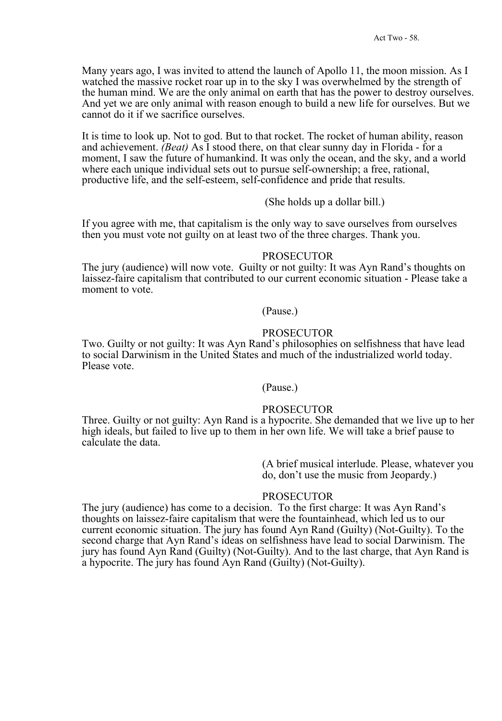Many years ago, I was invited to attend the launch of Apollo 11, the moon mission. As I watched the massive rocket roar up in to the sky I was overwhelmed by the strength of the human mind. We are the only animal on earth that has the power to destroy ourselves. And yet we are only animal with reason enough to build a new life for ourselves. But we cannot do it if we sacrifice ourselves.

It is time to look up. Not to god. But to that rocket. The rocket of human ability, reason and achievement. *(Beat)* As I stood there, on that clear sunny day in Florida - for a moment, I saw the future of humankind. It was only the ocean, and the sky, and a world where each unique individual sets out to pursue self-ownership; a free, rational, productive life, and the self-esteem, self-confidence and pride that results.

(She holds up a dollar bill.)

If you agree with me, that capitalism is the only way to save ourselves from ourselves then you must vote not guilty on at least two of the three charges. Thank you.

#### PROSECUTOR

The jury (audience) will now vote. Guilty or not guilty: It was Ayn Rand's thoughts on laissez-faire capitalism that contributed to our current economic situation - Please take a moment to vote.

(Pause.)

# PROSECUTOR

Two. Guilty or not guilty: It was Ayn Rand's philosophies on selfishness that have lead to social Darwinism in the United States and much of the industrialized world today. Please vote.

# (Pause.)

#### PROSECUTOR

Three. Guilty or not guilty: Ayn Rand is a hypocrite. She demanded that we live up to her high ideals, but failed to live up to them in her own life. We will take a brief pause to calculate the data.

> (A brief musical interlude. Please, whatever you do, don't use the music from Jeopardy.)

#### PROSECUTOR

The jury (audience) has come to a decision. To the first charge: It was Ayn Rand's thoughts on laissez-faire capitalism that were the fountainhead, which led us to our current economic situation. The jury has found Ayn Rand (Guilty) (Not-Guilty). To the second charge that Ayn Rand's ideas on selfishness have lead to social Darwinism. The jury has found Ayn Rand (Guilty) (Not-Guilty). And to the last charge, that Ayn Rand is a hypocrite. The jury has found Ayn Rand (Guilty) (Not-Guilty).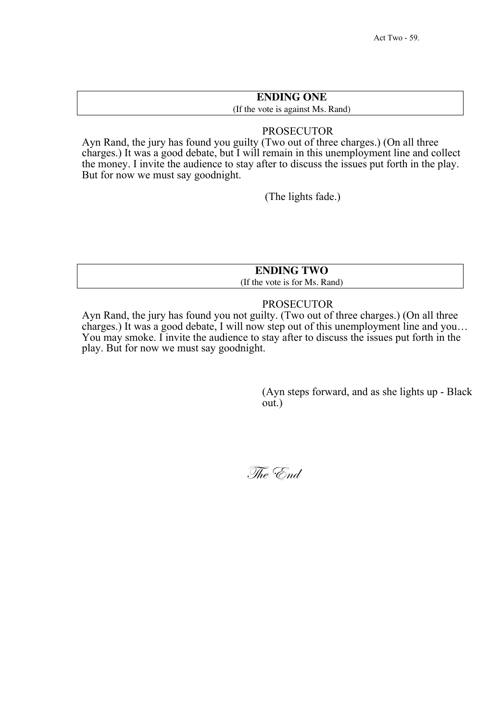### **ENDING ONE** (If the vote is against Ms. Rand)

# PROSECUTOR

Ayn Rand, the jury has found you guilty (Two out of three charges.) (On all three charges.) It was a good debate, but I will remain in this unemployment line and collect the money. I invite the audience to stay after to discuss the issues put forth in the play. But for now we must say goodnight.

(The lights fade.)

**ENDING TWO**

(If the vote is for Ms. Rand)

#### PROSECUTOR

Ayn Rand, the jury has found you not guilty. (Two out of three charges.) (On all three charges.) It was a good debate, I will now step out of this unemployment line and you… You may smoke. I invite the audience to stay after to discuss the issues put forth in the play. But for now we must say goodnight.

> (Ayn steps forward, and as she lights up - Black out.)

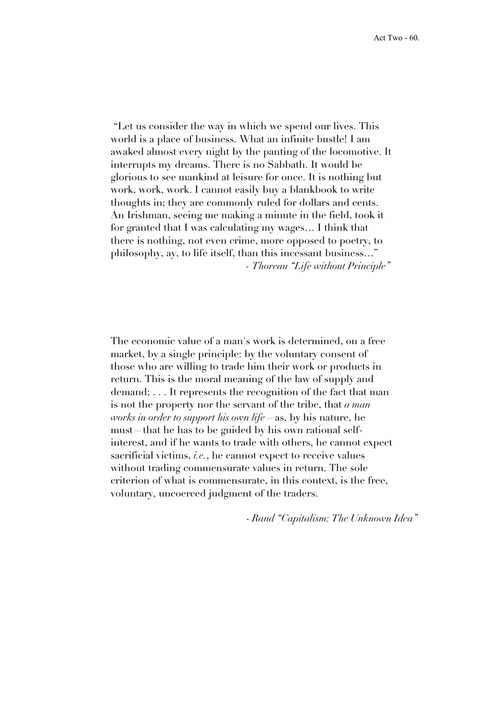"Let us consider the way in which we spend our lives. This world is a place of business. What an infinite bustle! I am awaked almost every night by the panting of the locomotive. It interrupts my dreams. There is no Sabbath. It would be glorious to see mankind at leisure for once. It is nothing but work, work, work. I cannot easily buy a blankbook to write thoughts in; they are commonly ruled for dollars and cents. An Irishman, seeing me making a minute in the field, took it for granted that I was calculating my wages… I think that there is nothing, not even crime, more opposed to poetry, to philosophy, ay, to life itself, than this incessant business…" *- Thoreau "Life without Principle"* 

The economic value of a man's work is determined, on a free market, by a single principle: by the voluntary consent of those who are willing to trade him their work or products in return. This is the moral meaning of the law of supply and demand; . . . It represents the recognition of the fact that man is not the property nor the servant of the tribe, that *a man works in order to support his own life*—as, by his nature, he must that he has to be guided by his own rational selfinterest, and if he wants to trade with others, he cannot expect sacrificial victims, *i.e.*, he cannot expect to receive values without trading commensurate values in return. The sole criterion of what is commensurate, in this context, is the free, voluntary, uncoerced judgment of the traders.

- *Rand "Capitalism: The Unknown Idea"*